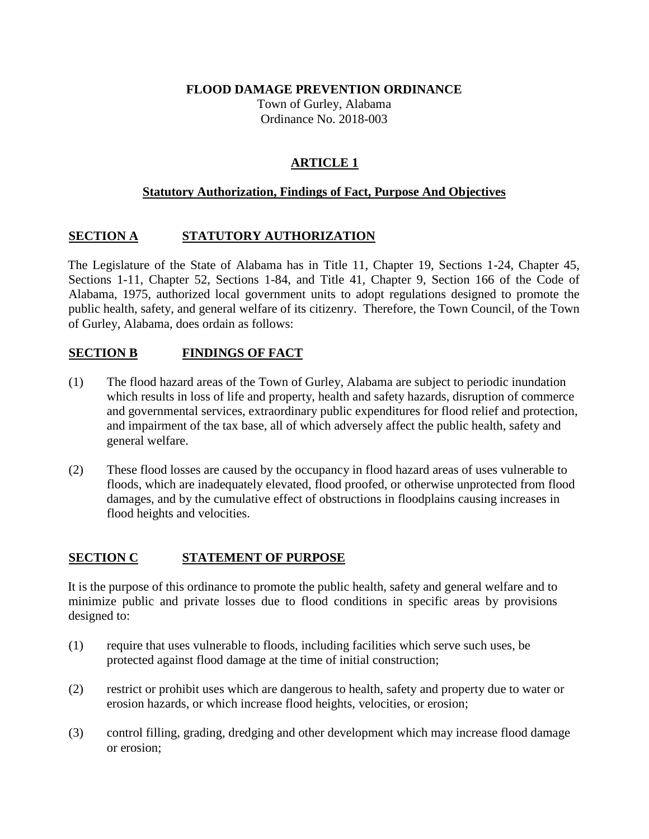#### **FLOOD DAMAGE PREVENTION ORDINANCE**

Town of Gurley, Alabama Ordinance No. 2018-003

# **ARTICLE 1**

### **Statutory Authorization, Findings of Fact, Purpose And Objectives**

### **SECTION A STATUTORY AUTHORIZATION**

The Legislature of the State of Alabama has in Title 11, Chapter 19, Sections 1-24, Chapter 45, Sections 1-11, Chapter 52, Sections 1-84, and Title 41, Chapter 9, Section 166 of the Code of Alabama, 1975, authorized local government units to adopt regulations designed to promote the public health, safety, and general welfare of its citizenry. Therefore, the Town Council, of the Town of Gurley, Alabama, does ordain as follows:

### **SECTION B FINDINGS OF FACT**

- (1) The flood hazard areas of the Town of Gurley, Alabama are subject to periodic inundation which results in loss of life and property, health and safety hazards, disruption of commerce and governmental services, extraordinary public expenditures for flood relief and protection, and impairment of the tax base, all of which adversely affect the public health, safety and general welfare.
- (2) These flood losses are caused by the occupancy in flood hazard areas of uses vulnerable to floods, which are inadequately elevated, flood proofed, or otherwise unprotected from flood damages, and by the cumulative effect of obstructions in floodplains causing increases in flood heights and velocities.

### **SECTION C STATEMENT OF PURPOSE**

It is the purpose of this ordinance to promote the public health, safety and general welfare and to minimize public and private losses due to flood conditions in specific areas by provisions designed to:

- (1) require that uses vulnerable to floods, including facilities which serve such uses, be protected against flood damage at the time of initial construction;
- (2) restrict or prohibit uses which are dangerous to health, safety and property due to water or erosion hazards, or which increase flood heights, velocities, or erosion;
- (3) control filling, grading, dredging and other development which may increase flood damage or erosion;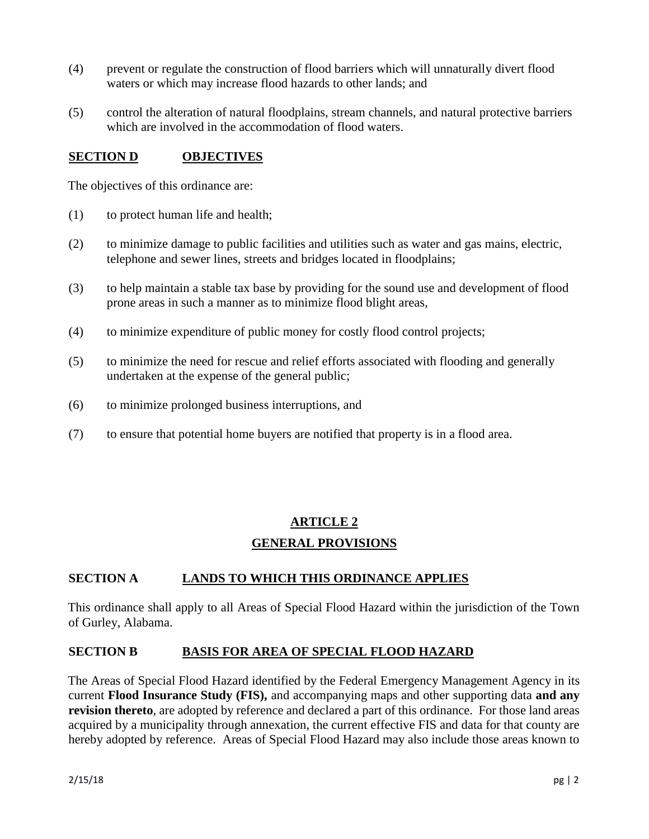- (4) prevent or regulate the construction of flood barriers which will unnaturally divert flood waters or which may increase flood hazards to other lands; and
- (5) control the alteration of natural floodplains, stream channels, and natural protective barriers which are involved in the accommodation of flood waters.

## **SECTION D OBJECTIVES**

The objectives of this ordinance are:

- (1) to protect human life and health;
- (2) to minimize damage to public facilities and utilities such as water and gas mains, electric, telephone and sewer lines, streets and bridges located in floodplains;
- (3) to help maintain a stable tax base by providing for the sound use and development of flood prone areas in such a manner as to minimize flood blight areas,
- (4) to minimize expenditure of public money for costly flood control projects;
- (5) to minimize the need for rescue and relief efforts associated with flooding and generally undertaken at the expense of the general public;
- (6) to minimize prolonged business interruptions, and
- (7) to ensure that potential home buyers are notified that property is in a flood area.

# **ARTICLE 2 GENERAL PROVISIONS**

### **SECTION A LANDS TO WHICH THIS ORDINANCE APPLIES**

This ordinance shall apply to all Areas of Special Flood Hazard within the jurisdiction of the Town of Gurley, Alabama.

### **SECTION B BASIS FOR AREA OF SPECIAL FLOOD HAZARD**

The Areas of Special Flood Hazard identified by the Federal Emergency Management Agency in its current **Flood Insurance Study (FIS),** and accompanying maps and other supporting data **and any revision thereto**, are adopted by reference and declared a part of this ordinance. For those land areas acquired by a municipality through annexation, the current effective FIS and data for that county are hereby adopted by reference. Areas of Special Flood Hazard may also include those areas known to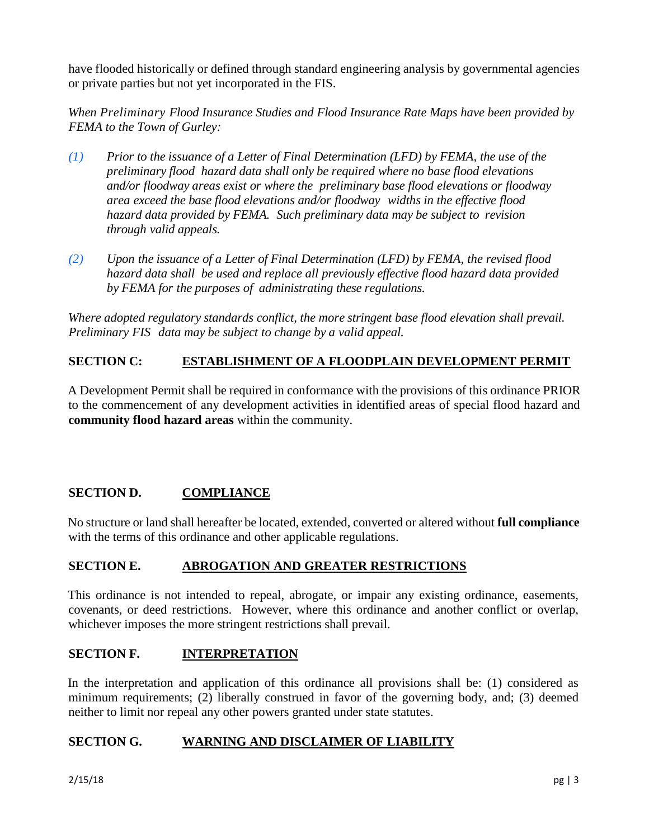have flooded historically or defined through standard engineering analysis by governmental agencies or private parties but not yet incorporated in the FIS.

*When Preliminary Flood Insurance Studies and Flood Insurance Rate Maps have been provided by FEMA to the Town of Gurley:* 

- *(1) Prior to the issuance of a Letter of Final Determination (LFD) by FEMA, the use of the preliminary flood hazard data shall only be required where no base flood elevations and/or floodway areas exist or where the preliminary base flood elevations or floodway area exceed the base flood elevations and/or floodway widths in the effective flood hazard data provided by FEMA. Such preliminary data may be subject to revision through valid appeals.*
- *(2) Upon the issuance of a Letter of Final Determination (LFD) by FEMA, the revised flood hazard data shall be used and replace all previously effective flood hazard data provided by FEMA for the purposes of administrating these regulations.*

*Where adopted regulatory standards conflict, the more stringent base flood elevation shall prevail. Preliminary FIS data may be subject to change by a valid appeal.* 

# **SECTION C: ESTABLISHMENT OF A FLOODPLAIN DEVELOPMENT PERMIT**

A Development Permit shall be required in conformance with the provisions of this ordinance PRIOR to the commencement of any development activities in identified areas of special flood hazard and **community flood hazard areas** within the community.

### **SECTION D. COMPLIANCE**

No structure or land shall hereafter be located, extended, converted or altered without **full compliance** with the terms of this ordinance and other applicable regulations.

### **SECTION E. ABROGATION AND GREATER RESTRICTIONS**

This ordinance is not intended to repeal, abrogate, or impair any existing ordinance, easements, covenants, or deed restrictions. However, where this ordinance and another conflict or overlap, whichever imposes the more stringent restrictions shall prevail.

### **SECTION F. INTERPRETATION**

In the interpretation and application of this ordinance all provisions shall be: (1) considered as minimum requirements; (2) liberally construed in favor of the governing body, and; (3) deemed neither to limit nor repeal any other powers granted under state statutes.

### **SECTION G. WARNING AND DISCLAIMER OF LIABILITY**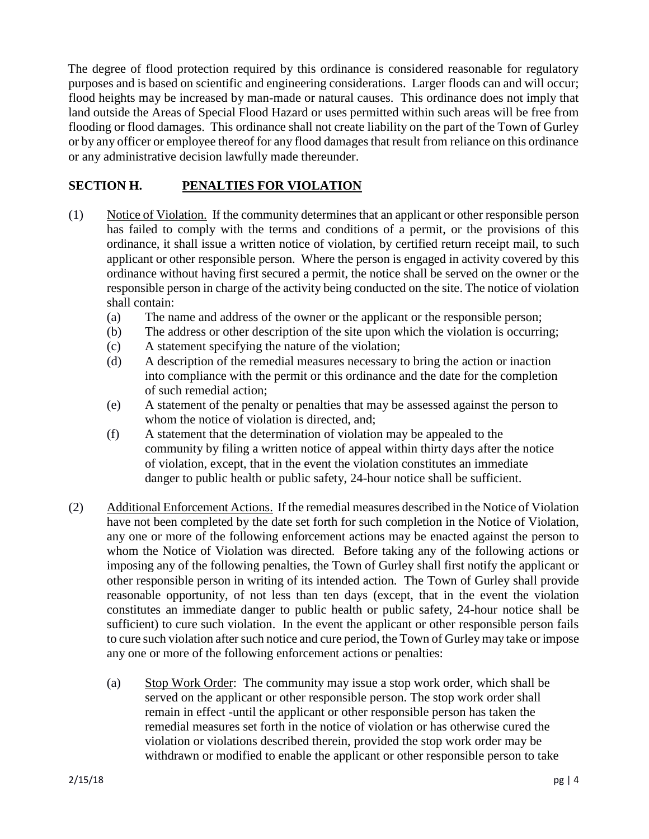The degree of flood protection required by this ordinance is considered reasonable for regulatory purposes and is based on scientific and engineering considerations. Larger floods can and will occur; flood heights may be increased by man-made or natural causes. This ordinance does not imply that land outside the Areas of Special Flood Hazard or uses permitted within such areas will be free from flooding or flood damages. This ordinance shall not create liability on the part of the Town of Gurley or by any officer or employee thereof for any flood damages that result from reliance on this ordinance or any administrative decision lawfully made thereunder.

# **SECTION H. PENALTIES FOR VIOLATION**

- (1) Notice of Violation. If the community determines that an applicant or other responsible person has failed to comply with the terms and conditions of a permit, or the provisions of this ordinance, it shall issue a written notice of violation, by certified return receipt mail, to such applicant or other responsible person. Where the person is engaged in activity covered by this ordinance without having first secured a permit, the notice shall be served on the owner or the responsible person in charge of the activity being conducted on the site. The notice of violation shall contain:
	- (a) The name and address of the owner or the applicant or the responsible person;
	- (b) The address or other description of the site upon which the violation is occurring;
	- (c) A statement specifying the nature of the violation;
	- (d) A description of the remedial measures necessary to bring the action or inaction into compliance with the permit or this ordinance and the date for the completion of such remedial action;
	- (e) A statement of the penalty or penalties that may be assessed against the person to whom the notice of violation is directed, and;
	- (f) A statement that the determination of violation may be appealed to the community by filing a written notice of appeal within thirty days after the notice of violation, except, that in the event the violation constitutes an immediate danger to public health or public safety, 24-hour notice shall be sufficient.
- (2) Additional Enforcement Actions. If the remedial measures described in the Notice of Violation have not been completed by the date set forth for such completion in the Notice of Violation, any one or more of the following enforcement actions may be enacted against the person to whom the Notice of Violation was directed. Before taking any of the following actions or imposing any of the following penalties, the Town of Gurley shall first notify the applicant or other responsible person in writing of its intended action. The Town of Gurley shall provide reasonable opportunity, of not less than ten days (except, that in the event the violation constitutes an immediate danger to public health or public safety, 24-hour notice shall be sufficient) to cure such violation. In the event the applicant or other responsible person fails to cure such violation after such notice and cure period, the Town of Gurley may take or impose any one or more of the following enforcement actions or penalties:
	- (a) Stop Work Order: The community may issue a stop work order, which shall be served on the applicant or other responsible person. The stop work order shall remain in effect -until the applicant or other responsible person has taken the remedial measures set forth in the notice of violation or has otherwise cured the violation or violations described therein, provided the stop work order may be withdrawn or modified to enable the applicant or other responsible person to take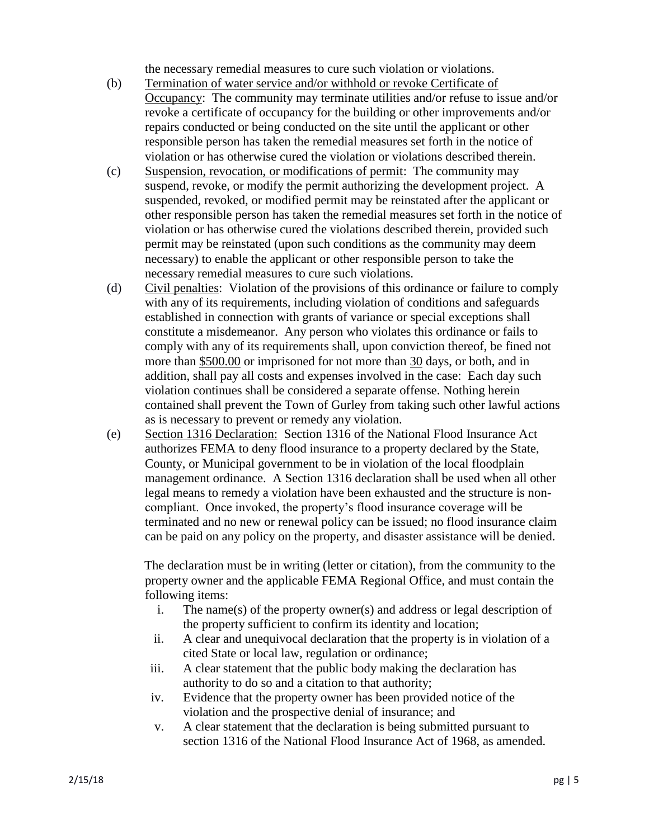the necessary remedial measures to cure such violation or violations.

- (b) Termination of water service and/or withhold or revoke Certificate of Occupancy: The community may terminate utilities and/or refuse to issue and/or revoke a certificate of occupancy for the building or other improvements and/or repairs conducted or being conducted on the site until the applicant or other responsible person has taken the remedial measures set forth in the notice of violation or has otherwise cured the violation or violations described therein.
- (c) Suspension, revocation, or modifications of permit: The community may suspend, revoke, or modify the permit authorizing the development project. A suspended, revoked, or modified permit may be reinstated after the applicant or other responsible person has taken the remedial measures set forth in the notice of violation or has otherwise cured the violations described therein, provided such permit may be reinstated (upon such conditions as the community may deem necessary) to enable the applicant or other responsible person to take the necessary remedial measures to cure such violations.
- (d) Civil penalties: Violation of the provisions of this ordinance or failure to comply with any of its requirements, including violation of conditions and safeguards established in connection with grants of variance or special exceptions shall constitute a misdemeanor. Any person who violates this ordinance or fails to comply with any of its requirements shall, upon conviction thereof, be fined not more than \$500.00 or imprisoned for not more than 30 days, or both, and in addition, shall pay all costs and expenses involved in the case: Each day such violation continues shall be considered a separate offense. Nothing herein contained shall prevent the Town of Gurley from taking such other lawful actions as is necessary to prevent or remedy any violation.
- (e) Section 1316 Declaration: Section 1316 of the National Flood Insurance Act authorizes FEMA to deny flood insurance to a property declared by the State, County, or Municipal government to be in violation of the local floodplain management ordinance. A Section 1316 declaration shall be used when all other legal means to remedy a violation have been exhausted and the structure is noncompliant. Once invoked, the property's flood insurance coverage will be terminated and no new or renewal policy can be issued; no flood insurance claim can be paid on any policy on the property, and disaster assistance will be denied.

The declaration must be in writing (letter or citation), from the community to the property owner and the applicable FEMA Regional Office, and must contain the following items:

- i. The name(s) of the property owner(s) and address or legal description of the property sufficient to confirm its identity and location;
- ii. A clear and unequivocal declaration that the property is in violation of a cited State or local law, regulation or ordinance;
- iii. A clear statement that the public body making the declaration has authority to do so and a citation to that authority;
- iv. Evidence that the property owner has been provided notice of the violation and the prospective denial of insurance; and
- v. A clear statement that the declaration is being submitted pursuant to section 1316 of the National Flood Insurance Act of 1968, as amended.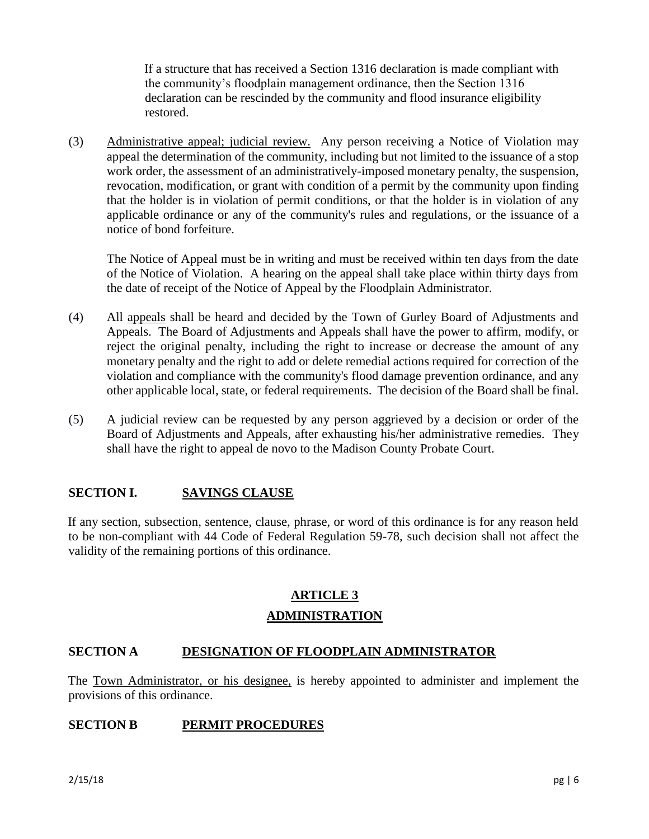If a structure that has received a Section 1316 declaration is made compliant with the community's floodplain management ordinance, then the Section 1316 declaration can be rescinded by the community and flood insurance eligibility restored.

(3) Administrative appeal; judicial review. Any person receiving a Notice of Violation may appeal the determination of the community, including but not limited to the issuance of a stop work order, the assessment of an administratively-imposed monetary penalty, the suspension, revocation, modification, or grant with condition of a permit by the community upon finding that the holder is in violation of permit conditions, or that the holder is in violation of any applicable ordinance or any of the community's rules and regulations, or the issuance of a notice of bond forfeiture.

The Notice of Appeal must be in writing and must be received within ten days from the date of the Notice of Violation. A hearing on the appeal shall take place within thirty days from the date of receipt of the Notice of Appeal by the Floodplain Administrator.

- (4) All appeals shall be heard and decided by the Town of Gurley Board of Adjustments and Appeals. The Board of Adjustments and Appeals shall have the power to affirm, modify, or reject the original penalty, including the right to increase or decrease the amount of any monetary penalty and the right to add or delete remedial actions required for correction of the violation and compliance with the community's flood damage prevention ordinance, and any other applicable local, state, or federal requirements. The decision of the Board shall be final.
- (5) A judicial review can be requested by any person aggrieved by a decision or order of the Board of Adjustments and Appeals, after exhausting his/her administrative remedies. They shall have the right to appeal de novo to the Madison County Probate Court.

# **SECTION I. SAVINGS CLAUSE**

If any section, subsection, sentence, clause, phrase, or word of this ordinance is for any reason held to be non-compliant with 44 Code of Federal Regulation 59-78, such decision shall not affect the validity of the remaining portions of this ordinance.

# **ARTICLE 3 ADMINISTRATION**

### **SECTION A DESIGNATION OF FLOODPLAIN ADMINISTRATOR**

The Town Administrator, or his designee, is hereby appointed to administer and implement the provisions of this ordinance.

### **SECTION B PERMIT PROCEDURES**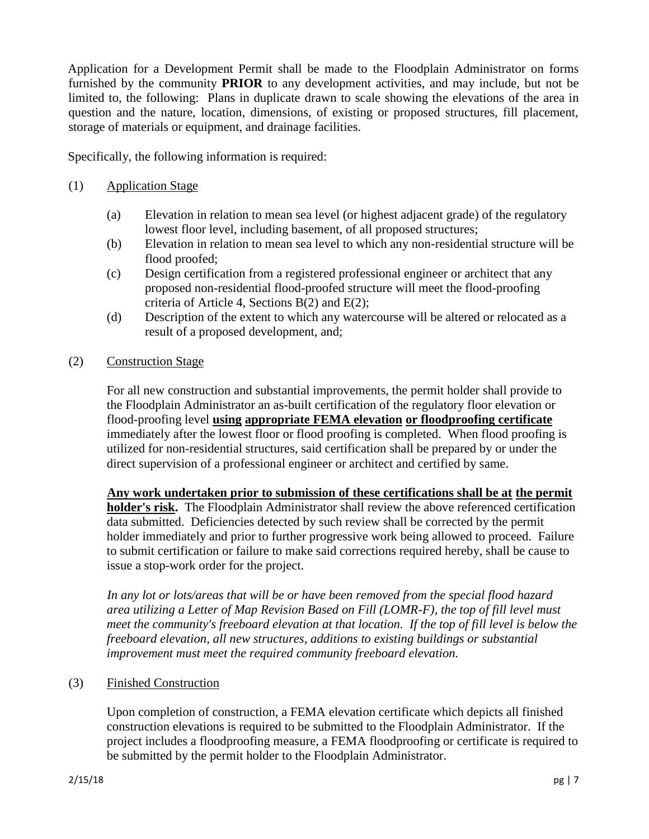Application for a Development Permit shall be made to the Floodplain Administrator on forms furnished by the community **PRIOR** to any development activities, and may include, but not be limited to, the following: Plans in duplicate drawn to scale showing the elevations of the area in question and the nature, location, dimensions, of existing or proposed structures, fill placement, storage of materials or equipment, and drainage facilities.

Specifically, the following information is required:

### (1) Application Stage

- (a) Elevation in relation to mean sea level (or highest adjacent grade) of the regulatory lowest floor level, including basement, of all proposed structures;
- (b) Elevation in relation to mean sea level to which any non-residential structure will be flood proofed;
- (c) Design certification from a registered professional engineer or architect that any proposed non-residential flood-proofed structure will meet the flood-proofing criteria of Article 4, Sections B(2) and E(2);
- (d) Description of the extent to which any watercourse will be altered or relocated as a result of a proposed development, and;

### (2) Construction Stage

For all new construction and substantial improvements, the permit holder shall provide to the Floodplain Administrator an as-built certification of the regulatory floor elevation or flood-proofing level **using appropriate FEMA elevation or floodproofing certificate** immediately after the lowest floor or flood proofing is completed. When flood proofing is utilized for non-residential structures, said certification shall be prepared by or under the direct supervision of a professional engineer or architect and certified by same.

**Any work undertaken prior to submission of these certifications shall be at the permit holder's risk.** The Floodplain Administrator shall review the above referenced certification data submitted. Deficiencies detected by such review shall be corrected by the permit holder immediately and prior to further progressive work being allowed to proceed. Failure to submit certification or failure to make said corrections required hereby, shall be cause to issue a stop-work order for the project.

*In any lot or lots/areas that will be or have been removed from the special flood hazard area utilizing a Letter of Map Revision Based on Fill (LOMR-F), the top of fill level must meet the community's freeboard elevation at that location. If the top of fill level is below the freeboard elevation, all new structures, additions to existing buildings or substantial improvement must meet the required community freeboard elevation.* 

### (3) Finished Construction

Upon completion of construction, a FEMA elevation certificate which depicts all finished construction elevations is required to be submitted to the Floodplain Administrator. If the project includes a floodproofing measure, a FEMA floodproofing or certificate is required to be submitted by the permit holder to the Floodplain Administrator.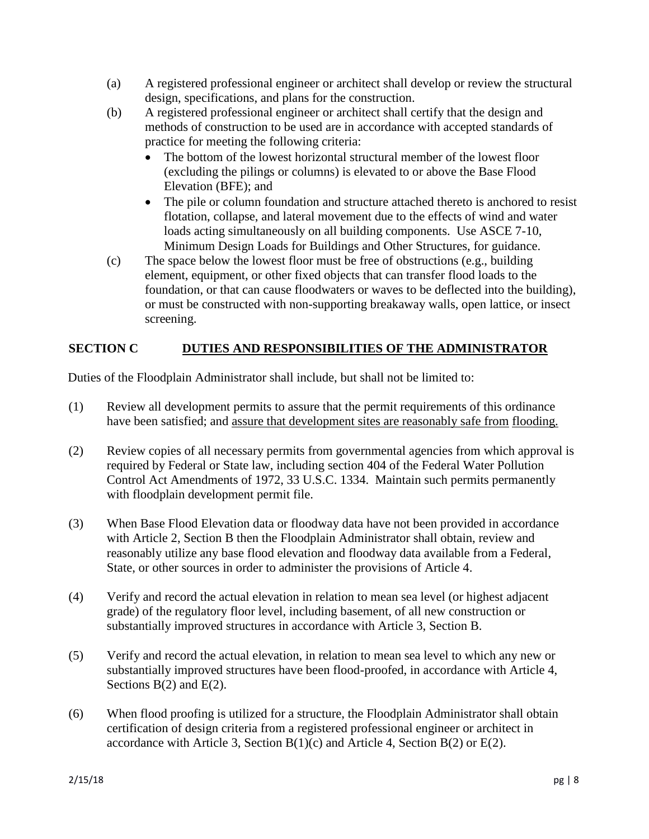- (a) A registered professional engineer or architect shall develop or review the structural design, specifications, and plans for the construction.
- (b) A registered professional engineer or architect shall certify that the design and methods of construction to be used are in accordance with accepted standards of practice for meeting the following criteria:
	- The bottom of the lowest horizontal structural member of the lowest floor (excluding the pilings or columns) is elevated to or above the Base Flood Elevation (BFE); and
	- The pile or column foundation and structure attached thereto is anchored to resist flotation, collapse, and lateral movement due to the effects of wind and water loads acting simultaneously on all building components. Use ASCE 7-10, Minimum Design Loads for Buildings and Other Structures, for guidance.
- (c) The space below the lowest floor must be free of obstructions (e.g., building element, equipment, or other fixed objects that can transfer flood loads to the foundation, or that can cause floodwaters or waves to be deflected into the building), or must be constructed with non-supporting breakaway walls, open lattice, or insect screening.

# **SECTION C DUTIES AND RESPONSIBILITIES OF THE ADMINISTRATOR**

Duties of the Floodplain Administrator shall include, but shall not be limited to:

- (1) Review all development permits to assure that the permit requirements of this ordinance have been satisfied; and assure that development sites are reasonably safe from flooding.
- (2) Review copies of all necessary permits from governmental agencies from which approval is required by Federal or State law, including section 404 of the Federal Water Pollution Control Act Amendments of 1972, 33 U.S.C. 1334. Maintain such permits permanently with floodplain development permit file.
- (3) When Base Flood Elevation data or floodway data have not been provided in accordance with Article 2, Section B then the Floodplain Administrator shall obtain, review and reasonably utilize any base flood elevation and floodway data available from a Federal, State, or other sources in order to administer the provisions of Article 4.
- (4) Verify and record the actual elevation in relation to mean sea level (or highest adjacent grade) of the regulatory floor level, including basement, of all new construction or substantially improved structures in accordance with Article 3, Section B.
- (5) Verify and record the actual elevation, in relation to mean sea level to which any new or substantially improved structures have been flood-proofed, in accordance with Article 4, Sections  $B(2)$  and  $E(2)$ .
- (6) When flood proofing is utilized for a structure, the Floodplain Administrator shall obtain certification of design criteria from a registered professional engineer or architect in accordance with Article 3, Section  $B(1)(c)$  and Article 4, Section  $B(2)$  or  $E(2)$ .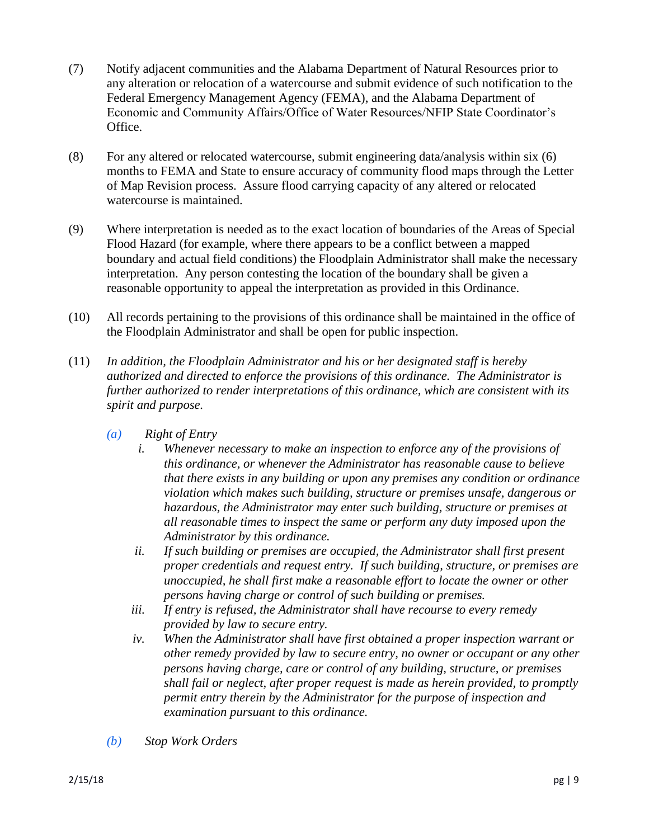- (7) Notify adjacent communities and the Alabama Department of Natural Resources prior to any alteration or relocation of a watercourse and submit evidence of such notification to the Federal Emergency Management Agency (FEMA), and the Alabama Department of Economic and Community Affairs/Office of Water Resources/NFIP State Coordinator's Office.
- (8) For any altered or relocated watercourse, submit engineering data/analysis within six (6) months to FEMA and State to ensure accuracy of community flood maps through the Letter of Map Revision process. Assure flood carrying capacity of any altered or relocated watercourse is maintained.
- (9) Where interpretation is needed as to the exact location of boundaries of the Areas of Special Flood Hazard (for example, where there appears to be a conflict between a mapped boundary and actual field conditions) the Floodplain Administrator shall make the necessary interpretation. Any person contesting the location of the boundary shall be given a reasonable opportunity to appeal the interpretation as provided in this Ordinance.
- (10) All records pertaining to the provisions of this ordinance shall be maintained in the office of the Floodplain Administrator and shall be open for public inspection.
- (11) *In addition, the Floodplain Administrator and his or her designated staff is hereby authorized and directed to enforce the provisions of this ordinance. The Administrator is further authorized to render interpretations of this ordinance, which are consistent with its spirit and purpose.*
	- *(a) Right of Entry*
		- *i. Whenever necessary to make an inspection to enforce any of the provisions of this ordinance, or whenever the Administrator has reasonable cause to believe that there exists in any building or upon any premises any condition or ordinance violation which makes such building, structure or premises unsafe, dangerous or hazardous, the Administrator may enter such building, structure or premises at all reasonable times to inspect the same or perform any duty imposed upon the Administrator by this ordinance.*
		- *ii. If such building or premises are occupied, the Administrator shall first present proper credentials and request entry. If such building, structure, or premises are unoccupied, he shall first make a reasonable effort to locate the owner or other persons having charge or control of such building or premises.*
		- *iii. If entry is refused, the Administrator shall have recourse to every remedy provided by law to secure entry.*
		- *iv. When the Administrator shall have first obtained a proper inspection warrant or other remedy provided by law to secure entry, no owner or occupant or any other persons having charge, care or control of any building, structure, or premises shall fail or neglect, after proper request is made as herein provided, to promptly permit entry therein by the Administrator for the purpose of inspection and examination pursuant to this ordinance.*
	- *(b) Stop Work Orders*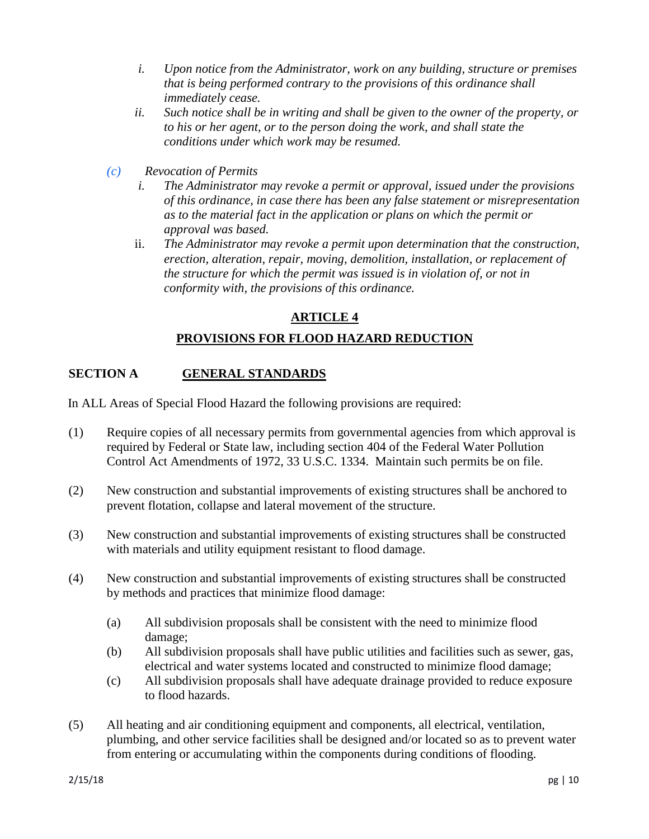- *i. Upon notice from the Administrator, work on any building, structure or premises that is being performed contrary to the provisions of this ordinance shall immediately cease.*
- *ii. Such notice shall be in writing and shall be given to the owner of the property, or to his or her agent, or to the person doing the work, and shall state the conditions under which work may be resumed.*
- *(c) Revocation of Permits*
	- *i. The Administrator may revoke a permit or approval, issued under the provisions of this ordinance, in case there has been any false statement or misrepresentation as to the material fact in the application or plans on which the permit or approval was based.*
	- ii. *The Administrator may revoke a permit upon determination that the construction, erection, alteration, repair, moving, demolition, installation, or replacement of the structure for which the permit was issued is in violation of, or not in conformity with, the provisions of this ordinance.*

### **ARTICLE 4**

# **PROVISIONS FOR FLOOD HAZARD REDUCTION**

### **SECTION A GENERAL STANDARDS**

In ALL Areas of Special Flood Hazard the following provisions are required:

- (1) Require copies of all necessary permits from governmental agencies from which approval is required by Federal or State law, including section 404 of the Federal Water Pollution Control Act Amendments of 1972, 33 U.S.C. 1334. Maintain such permits be on file.
- (2) New construction and substantial improvements of existing structures shall be anchored to prevent flotation, collapse and lateral movement of the structure.
- (3) New construction and substantial improvements of existing structures shall be constructed with materials and utility equipment resistant to flood damage.
- (4) New construction and substantial improvements of existing structures shall be constructed by methods and practices that minimize flood damage:
	- (a) All subdivision proposals shall be consistent with the need to minimize flood damage;
	- (b) All subdivision proposals shall have public utilities and facilities such as sewer, gas, electrical and water systems located and constructed to minimize flood damage;
	- (c) All subdivision proposals shall have adequate drainage provided to reduce exposure to flood hazards.
- (5) All heating and air conditioning equipment and components, all electrical, ventilation, plumbing, and other service facilities shall be designed and/or located so as to prevent water from entering or accumulating within the components during conditions of flooding.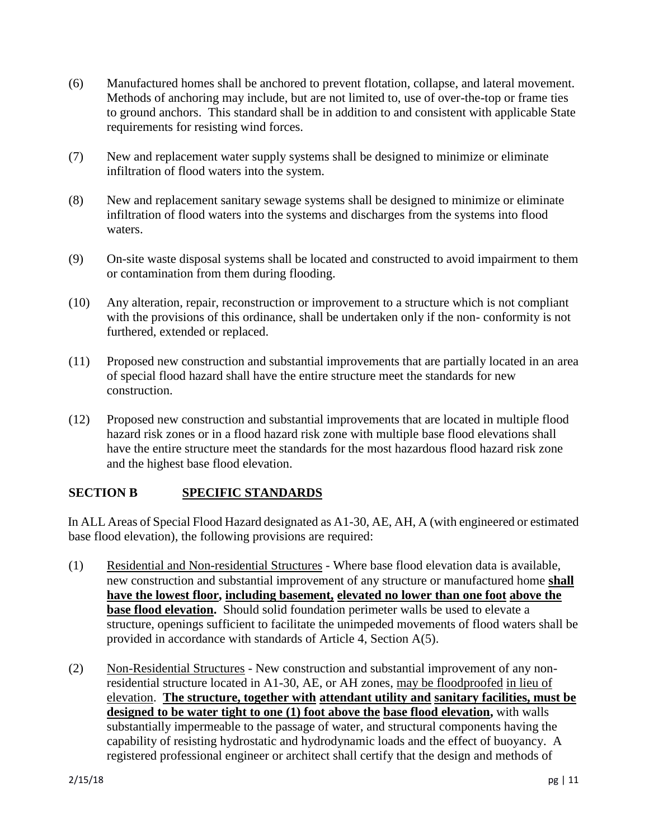- (6) Manufactured homes shall be anchored to prevent flotation, collapse, and lateral movement. Methods of anchoring may include, but are not limited to, use of over-the-top or frame ties to ground anchors. This standard shall be in addition to and consistent with applicable State requirements for resisting wind forces.
- (7) New and replacement water supply systems shall be designed to minimize or eliminate infiltration of flood waters into the system.
- (8) New and replacement sanitary sewage systems shall be designed to minimize or eliminate infiltration of flood waters into the systems and discharges from the systems into flood waters.
- (9) On-site waste disposal systems shall be located and constructed to avoid impairment to them or contamination from them during flooding.
- (10) Any alteration, repair, reconstruction or improvement to a structure which is not compliant with the provisions of this ordinance, shall be undertaken only if the non- conformity is not furthered, extended or replaced.
- (11) Proposed new construction and substantial improvements that are partially located in an area of special flood hazard shall have the entire structure meet the standards for new construction.
- (12) Proposed new construction and substantial improvements that are located in multiple flood hazard risk zones or in a flood hazard risk zone with multiple base flood elevations shall have the entire structure meet the standards for the most hazardous flood hazard risk zone and the highest base flood elevation.

# **SECTION B SPECIFIC STANDARDS**

In ALL Areas of Special Flood Hazard designated as A1-30, AE, AH, A (with engineered or estimated base flood elevation), the following provisions are required:

- (1) Residential and Non-residential Structures Where base flood elevation data is available, new construction and substantial improvement of any structure or manufactured home **shall have the lowest floor, including basement, elevated no lower than one foot above the base flood elevation.** Should solid foundation perimeter walls be used to elevate a structure, openings sufficient to facilitate the unimpeded movements of flood waters shall be provided in accordance with standards of Article 4, Section A(5).
- (2) Non-Residential Structures New construction and substantial improvement of any nonresidential structure located in A1-30, AE, or AH zones, may be floodproofed in lieu of elevation. **The structure, together with attendant utility and sanitary facilities, must be designed to be water tight to one (1) foot above the base flood elevation,** with walls substantially impermeable to the passage of water, and structural components having the capability of resisting hydrostatic and hydrodynamic loads and the effect of buoyancy. A registered professional engineer or architect shall certify that the design and methods of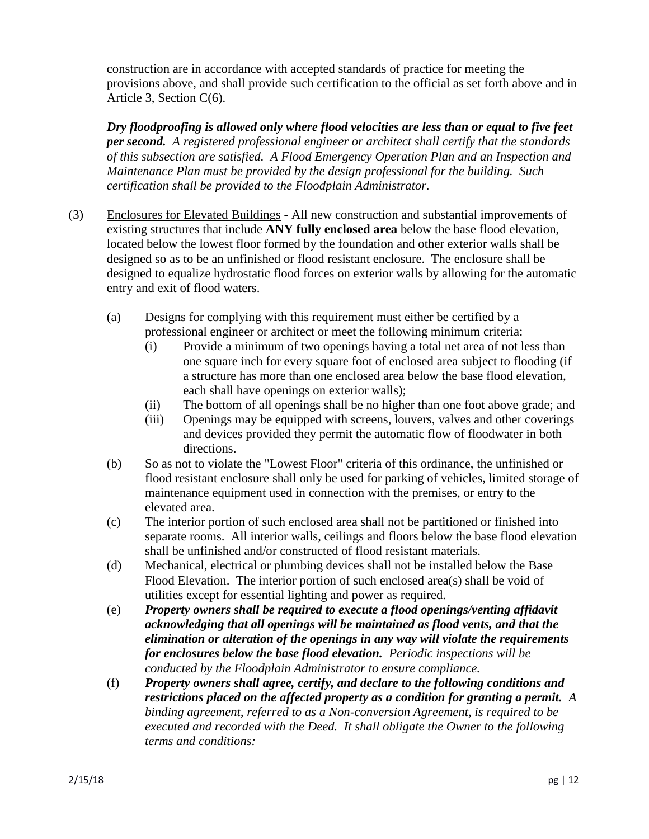construction are in accordance with accepted standards of practice for meeting the provisions above, and shall provide such certification to the official as set forth above and in Article 3, Section C(6).

*Dry floodproofing is allowed only where flood velocities are less than or equal to five feet per second. A registered professional engineer or architect shall certify that the standards of this subsection are satisfied. A Flood Emergency Operation Plan and an Inspection and Maintenance Plan must be provided by the design professional for the building. Such certification shall be provided to the Floodplain Administrator.* 

- (3) Enclosures for Elevated Buildings All new construction and substantial improvements of existing structures that include **ANY fully enclosed area** below the base flood elevation, located below the lowest floor formed by the foundation and other exterior walls shall be designed so as to be an unfinished or flood resistant enclosure. The enclosure shall be designed to equalize hydrostatic flood forces on exterior walls by allowing for the automatic entry and exit of flood waters.
	- (a) Designs for complying with this requirement must either be certified by a professional engineer or architect or meet the following minimum criteria:
		- (i) Provide a minimum of two openings having a total net area of not less than one square inch for every square foot of enclosed area subject to flooding (if a structure has more than one enclosed area below the base flood elevation, each shall have openings on exterior walls);
		- (ii) The bottom of all openings shall be no higher than one foot above grade; and
		- (iii) Openings may be equipped with screens, louvers, valves and other coverings and devices provided they permit the automatic flow of floodwater in both directions.
	- (b) So as not to violate the "Lowest Floor" criteria of this ordinance, the unfinished or flood resistant enclosure shall only be used for parking of vehicles, limited storage of maintenance equipment used in connection with the premises, or entry to the elevated area.
	- (c) The interior portion of such enclosed area shall not be partitioned or finished into separate rooms. All interior walls, ceilings and floors below the base flood elevation shall be unfinished and/or constructed of flood resistant materials.
	- (d) Mechanical, electrical or plumbing devices shall not be installed below the Base Flood Elevation. The interior portion of such enclosed area(s) shall be void of utilities except for essential lighting and power as required.
	- (e) *Property owners shall be required to execute a flood openings/venting affidavit acknowledging that all openings will be maintained as flood vents, and that the elimination or alteration of the openings in any way will violate the requirements for enclosures below the base flood elevation. Periodic inspections will be conducted by the Floodplain Administrator to ensure compliance.*
	- (f) *Property owners shall agree, certify, and declare to the following conditions and restrictions placed on the affected property as a condition for granting a permit. A binding agreement, referred to as a Non-conversion Agreement, is required to be executed and recorded with the Deed. It shall obligate the Owner to the following terms and conditions:*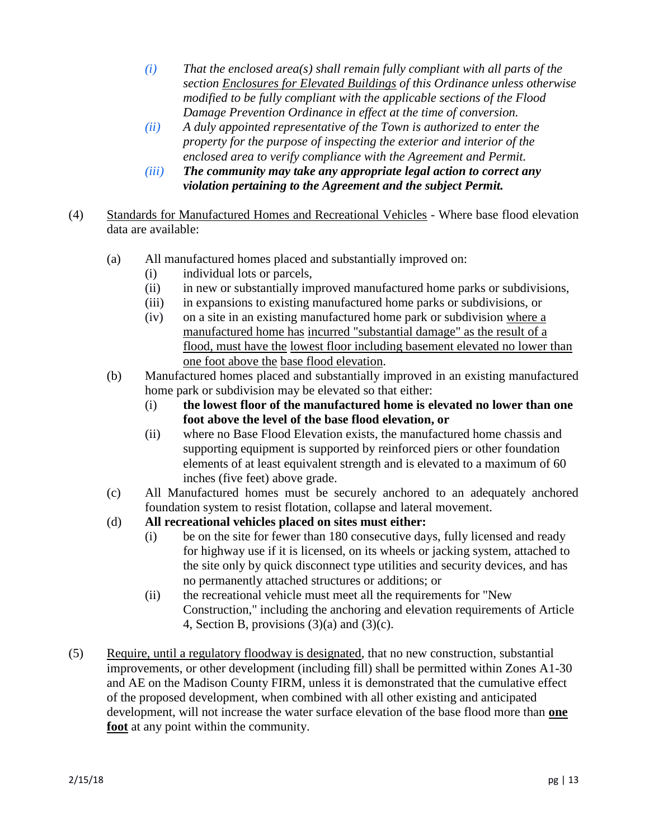- *(i) That the enclosed area(s) shall remain fully compliant with all parts of the section Enclosures for Elevated Buildings of this Ordinance unless otherwise modified to be fully compliant with the applicable sections of the Flood Damage Prevention Ordinance in effect at the time of conversion.*
- *(ii) A duly appointed representative of the Town is authorized to enter the property for the purpose of inspecting the exterior and interior of the enclosed area to verify compliance with the Agreement and Permit.*
- *(iii) The community may take any appropriate legal action to correct any violation pertaining to the Agreement and the subject Permit.*
- (4) Standards for Manufactured Homes and Recreational Vehicles Where base flood elevation data are available:
	- (a) All manufactured homes placed and substantially improved on:
		- (i) individual lots or parcels,
		- (ii) in new or substantially improved manufactured home parks or subdivisions,
		- (iii) in expansions to existing manufactured home parks or subdivisions, or
		- (iv) on a site in an existing manufactured home park or subdivision where a manufactured home has incurred "substantial damage" as the result of a flood, must have the lowest floor including basement elevated no lower than one foot above the base flood elevation.
	- (b) Manufactured homes placed and substantially improved in an existing manufactured home park or subdivision may be elevated so that either:
		- (i) **the lowest floor of the manufactured home is elevated no lower than one foot above the level of the base flood elevation, or**
		- (ii) where no Base Flood Elevation exists, the manufactured home chassis and supporting equipment is supported by reinforced piers or other foundation elements of at least equivalent strength and is elevated to a maximum of 60 inches (five feet) above grade.
	- (c) All Manufactured homes must be securely anchored to an adequately anchored foundation system to resist flotation, collapse and lateral movement.
	- (d) **All recreational vehicles placed on sites must either:** 
		- (i) be on the site for fewer than 180 consecutive days, fully licensed and ready for highway use if it is licensed, on its wheels or jacking system, attached to the site only by quick disconnect type utilities and security devices, and has no permanently attached structures or additions; or
		- (ii) the recreational vehicle must meet all the requirements for "New Construction," including the anchoring and elevation requirements of Article 4, Section B, provisions (3)(a) and (3)(c).
- (5) Require, until a regulatory floodway is designated, that no new construction, substantial improvements, or other development (including fill) shall be permitted within Zones A1-30 and AE on the Madison County FIRM, unless it is demonstrated that the cumulative effect of the proposed development, when combined with all other existing and anticipated development, will not increase the water surface elevation of the base flood more than **one foot** at any point within the community.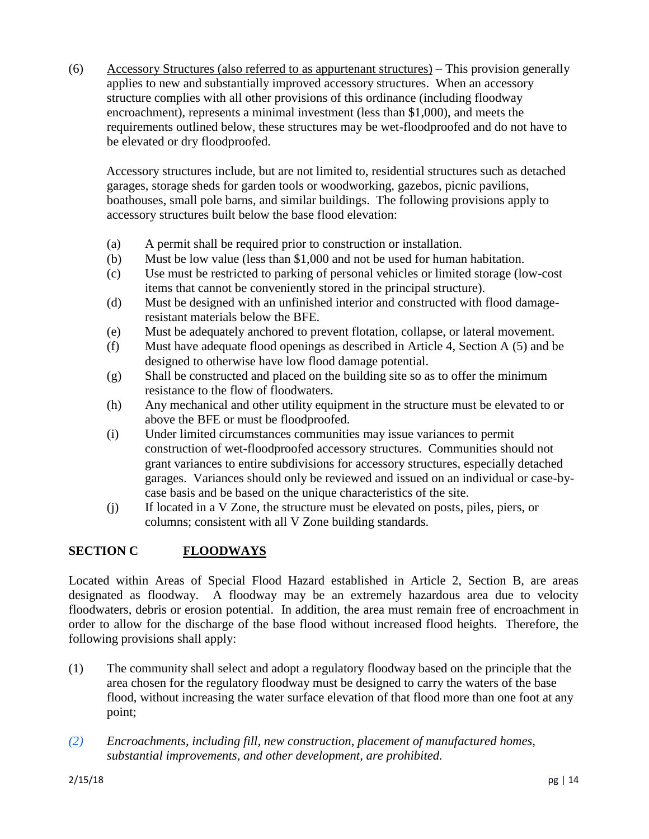(6) Accessory Structures (also referred to as appurtenant structures) – This provision generally applies to new and substantially improved accessory structures. When an accessory structure complies with all other provisions of this ordinance (including floodway encroachment), represents a minimal investment (less than \$1,000), and meets the requirements outlined below, these structures may be wet-floodproofed and do not have to be elevated or dry floodproofed.

Accessory structures include, but are not limited to, residential structures such as detached garages, storage sheds for garden tools or woodworking, gazebos, picnic pavilions, boathouses, small pole barns, and similar buildings. The following provisions apply to accessory structures built below the base flood elevation:

- (a) A permit shall be required prior to construction or installation.
- (b) Must be low value (less than \$1,000 and not be used for human habitation.
- (c) Use must be restricted to parking of personal vehicles or limited storage (low-cost items that cannot be conveniently stored in the principal structure).
- (d) Must be designed with an unfinished interior and constructed with flood damageresistant materials below the BFE.
- (e) Must be adequately anchored to prevent flotation, collapse, or lateral movement.
- (f) Must have adequate flood openings as described in Article 4, Section A (5) and be designed to otherwise have low flood damage potential.
- (g) Shall be constructed and placed on the building site so as to offer the minimum resistance to the flow of floodwaters.
- (h) Any mechanical and other utility equipment in the structure must be elevated to or above the BFE or must be floodproofed.
- (i) Under limited circumstances communities may issue variances to permit construction of wet-floodproofed accessory structures. Communities should not grant variances to entire subdivisions for accessory structures, especially detached garages. Variances should only be reviewed and issued on an individual or case-bycase basis and be based on the unique characteristics of the site.
- (j) If located in a V Zone, the structure must be elevated on posts, piles, piers, or columns; consistent with all V Zone building standards.

# **SECTION C FLOODWAYS**

Located within Areas of Special Flood Hazard established in Article 2, Section B, are areas designated as floodway. A floodway may be an extremely hazardous area due to velocity floodwaters, debris or erosion potential. In addition, the area must remain free of encroachment in order to allow for the discharge of the base flood without increased flood heights. Therefore, the following provisions shall apply:

- (1) The community shall select and adopt a regulatory floodway based on the principle that the area chosen for the regulatory floodway must be designed to carry the waters of the base flood, without increasing the water surface elevation of that flood more than one foot at any point;
- *(2) Encroachments, including fill, new construction, placement of manufactured homes, substantial improvements, and other development, are prohibited.*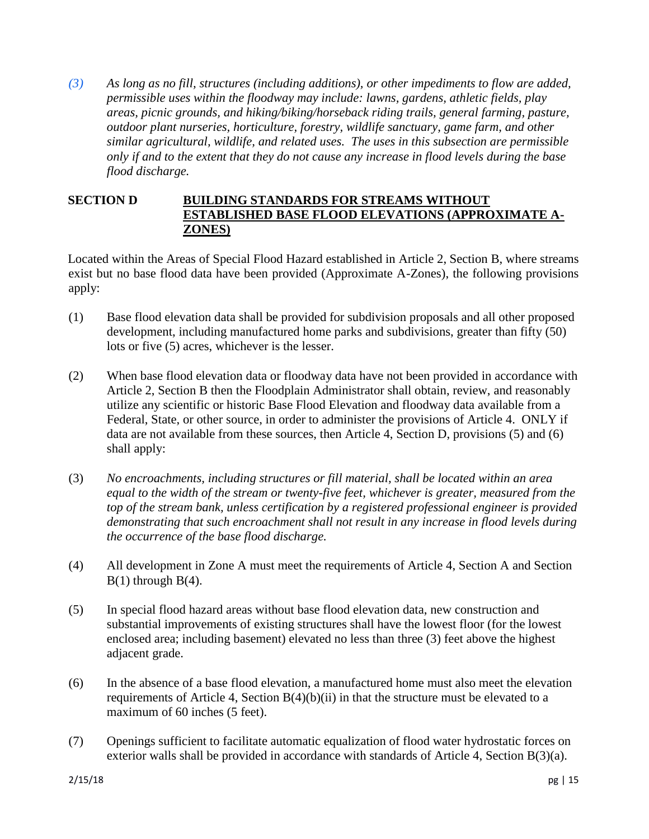*(3) As long as no fill, structures (including additions), or other impediments to flow are added, permissible uses within the floodway may include: lawns, gardens, athletic fields, play areas, picnic grounds, and hiking/biking/horseback riding trails, general farming, pasture, outdoor plant nurseries, horticulture, forestry, wildlife sanctuary, game farm, and other similar agricultural, wildlife, and related uses. The uses in this subsection are permissible only if and to the extent that they do not cause any increase in flood levels during the base flood discharge.* 

## **SECTION D BUILDING STANDARDS FOR STREAMS WITHOUT ESTABLISHED BASE FLOOD ELEVATIONS (APPROXIMATE A-ZONES)**

Located within the Areas of Special Flood Hazard established in Article 2, Section B, where streams exist but no base flood data have been provided (Approximate A-Zones), the following provisions apply:

- (1) Base flood elevation data shall be provided for subdivision proposals and all other proposed development, including manufactured home parks and subdivisions, greater than fifty (50) lots or five (5) acres, whichever is the lesser.
- (2) When base flood elevation data or floodway data have not been provided in accordance with Article 2, Section B then the Floodplain Administrator shall obtain, review, and reasonably utilize any scientific or historic Base Flood Elevation and floodway data available from a Federal, State, or other source, in order to administer the provisions of Article 4. ONLY if data are not available from these sources, then Article 4, Section D, provisions (5) and (6) shall apply:
- (3) *No encroachments, including structures or fill material, shall be located within an area equal to the width of the stream or twenty-five feet, whichever is greater, measured from the top of the stream bank, unless certification by a registered professional engineer is provided demonstrating that such encroachment shall not result in any increase in flood levels during the occurrence of the base flood discharge.*
- (4) All development in Zone A must meet the requirements of Article 4, Section A and Section  $B(1)$  through  $B(4)$ .
- (5) In special flood hazard areas without base flood elevation data, new construction and substantial improvements of existing structures shall have the lowest floor (for the lowest enclosed area; including basement) elevated no less than three (3) feet above the highest adjacent grade.
- (6) In the absence of a base flood elevation, a manufactured home must also meet the elevation requirements of Article 4, Section  $B(4)(b)(ii)$  in that the structure must be elevated to a maximum of 60 inches (5 feet).
- (7) Openings sufficient to facilitate automatic equalization of flood water hydrostatic forces on exterior walls shall be provided in accordance with standards of Article 4, Section B(3)(a).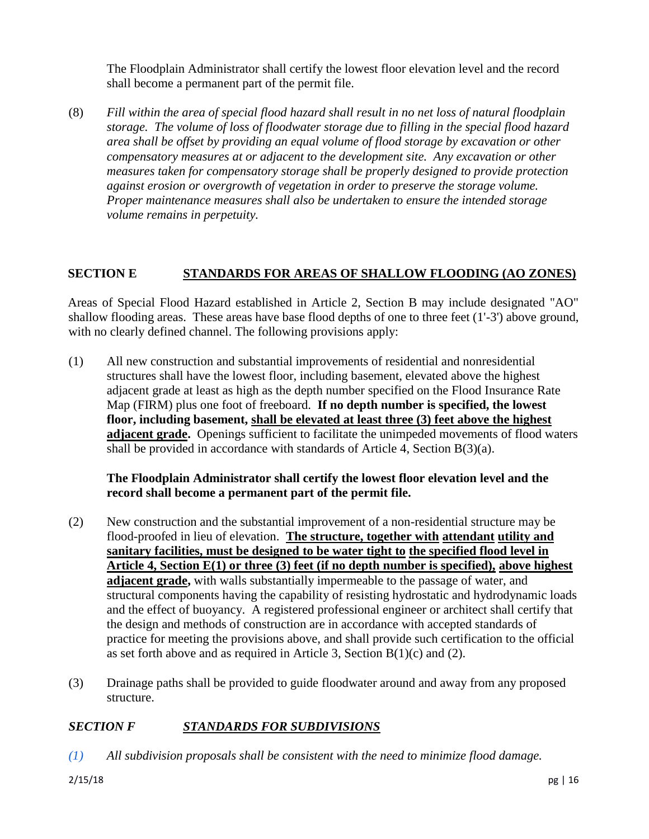The Floodplain Administrator shall certify the lowest floor elevation level and the record shall become a permanent part of the permit file.

(8) *Fill within the area of special flood hazard shall result in no net loss of natural floodplain storage. The volume of loss of floodwater storage due to filling in the special flood hazard area shall be offset by providing an equal volume of flood storage by excavation or other compensatory measures at or adjacent to the development site. Any excavation or other measures taken for compensatory storage shall be properly designed to provide protection against erosion or overgrowth of vegetation in order to preserve the storage volume. Proper maintenance measures shall also be undertaken to ensure the intended storage volume remains in perpetuity.*

# **SECTION E STANDARDS FOR AREAS OF SHALLOW FLOODING (AO ZONES)**

Areas of Special Flood Hazard established in Article 2, Section B may include designated "AO" shallow flooding areas. These areas have base flood depths of one to three feet (1'-3') above ground, with no clearly defined channel. The following provisions apply:

(1) All new construction and substantial improvements of residential and nonresidential structures shall have the lowest floor, including basement, elevated above the highest adjacent grade at least as high as the depth number specified on the Flood Insurance Rate Map (FIRM) plus one foot of freeboard. **If no depth number is specified, the lowest floor, including basement, shall be elevated at least three (3) feet above the highest adjacent grade.** Openings sufficient to facilitate the unimpeded movements of flood waters shall be provided in accordance with standards of Article 4, Section B(3)(a).

### **The Floodplain Administrator shall certify the lowest floor elevation level and the record shall become a permanent part of the permit file.**

- (2) New construction and the substantial improvement of a non-residential structure may be flood-proofed in lieu of elevation. **The structure, together with attendant utility and sanitary facilities, must be designed to be water tight to the specified flood level in Article 4, Section E(1) or three (3) feet (if no depth number is specified), above highest adjacent grade,** with walls substantially impermeable to the passage of water, and structural components having the capability of resisting hydrostatic and hydrodynamic loads and the effect of buoyancy. A registered professional engineer or architect shall certify that the design and methods of construction are in accordance with accepted standards of practice for meeting the provisions above, and shall provide such certification to the official as set forth above and as required in Article 3, Section  $B(1)(c)$  and (2).
- (3) Drainage paths shall be provided to guide floodwater around and away from any proposed structure.

### *SECTION F STANDARDS FOR SUBDIVISIONS*

*(1) All subdivision proposals shall be consistent with the need to minimize flood damage.*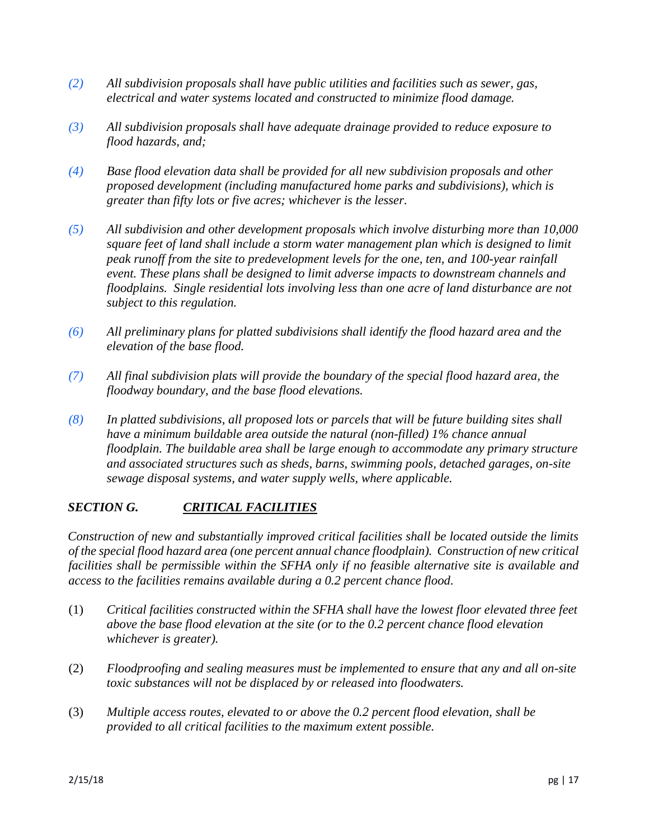- *(2) All subdivision proposals shall have public utilities and facilities such as sewer, gas, electrical and water systems located and constructed to minimize flood damage.*
- *(3) All subdivision proposals shall have adequate drainage provided to reduce exposure to flood hazards, and;*
- *(4) Base flood elevation data shall be provided for all new subdivision proposals and other proposed development (including manufactured home parks and subdivisions), which is greater than fifty lots or five acres; whichever is the lesser.*
- *(5) All subdivision and other development proposals which involve disturbing more than 10,000 square feet of land shall include a storm water management plan which is designed to limit peak runoff from the site to predevelopment levels for the one, ten, and 100-year rainfall event. These plans shall be designed to limit adverse impacts to downstream channels and floodplains. Single residential lots involving less than one acre of land disturbance are not subject to this regulation.*
- *(6) All preliminary plans for platted subdivisions shall identify the flood hazard area and the elevation of the base flood.*
- *(7) All final subdivision plats will provide the boundary of the special flood hazard area, the floodway boundary, and the base flood elevations.*
- *(8) In platted subdivisions, all proposed lots or parcels that will be future building sites shall have a minimum buildable area outside the natural (non-filled) 1% chance annual floodplain. The buildable area shall be large enough to accommodate any primary structure and associated structures such as sheds, barns, swimming pools, detached garages, on-site sewage disposal systems, and water supply wells, where applicable.*

# *SECTION G. CRITICAL FACILITIES*

*Construction of new and substantially improved critical facilities shall be located outside the limits of the special flood hazard area (one percent annual chance floodplain). Construction of new critical facilities shall be permissible within the SFHA only if no feasible alternative site is available and access to the facilities remains available during a 0.2 percent chance flood.* 

- (1) *Critical facilities constructed within the SFHA shall have the lowest floor elevated three feet above the base flood elevation at the site (or to the 0.2 percent chance flood elevation whichever is greater).*
- (2) *Floodproofing and sealing measures must be implemented to ensure that any and all on-site toxic substances will not be displaced by or released into floodwaters.*
- (3) *Multiple access routes, elevated to or above the 0.2 percent flood elevation, shall be provided to all critical facilities to the maximum extent possible.*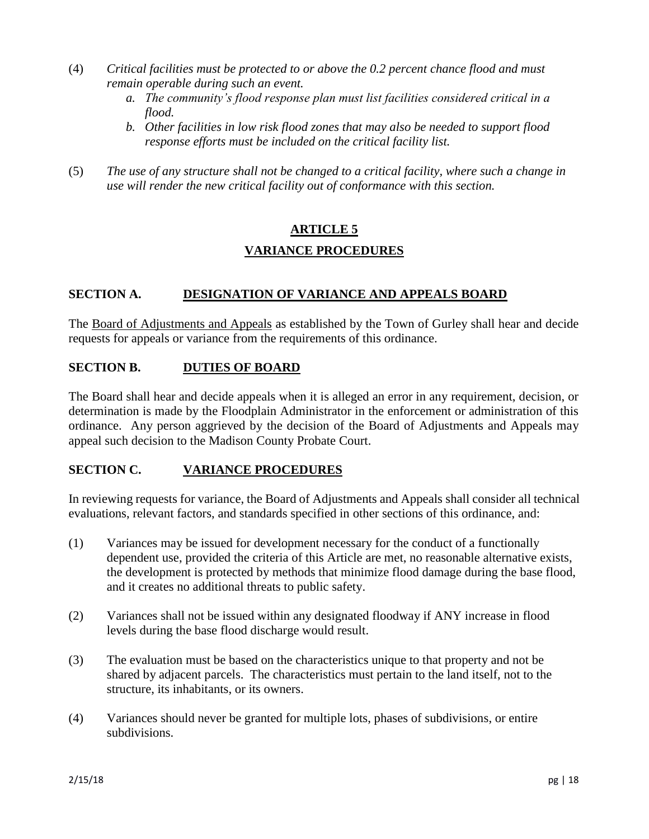- (4) *Critical facilities must be protected to or above the 0.2 percent chance flood and must remain operable during such an event.* 
	- *a. The community's flood response plan must list facilities considered critical in a flood.*
	- *b. Other facilities in low risk flood zones that may also be needed to support flood response efforts must be included on the critical facility list.*
- (5) *The use of any structure shall not be changed to a critical facility, where such a change in use will render the new critical facility out of conformance with this section.*

# **ARTICLE 5 VARIANCE PROCEDURES**

# **SECTION A. DESIGNATION OF VARIANCE AND APPEALS BOARD**

The Board of Adjustments and Appeals as established by the Town of Gurley shall hear and decide requests for appeals or variance from the requirements of this ordinance.

### **SECTION B. DUTIES OF BOARD**

The Board shall hear and decide appeals when it is alleged an error in any requirement, decision, or determination is made by the Floodplain Administrator in the enforcement or administration of this ordinance. Any person aggrieved by the decision of the Board of Adjustments and Appeals may appeal such decision to the Madison County Probate Court.

### **SECTION C. VARIANCE PROCEDURES**

In reviewing requests for variance, the Board of Adjustments and Appeals shall consider all technical evaluations, relevant factors, and standards specified in other sections of this ordinance, and:

- (1) Variances may be issued for development necessary for the conduct of a functionally dependent use, provided the criteria of this Article are met, no reasonable alternative exists, the development is protected by methods that minimize flood damage during the base flood, and it creates no additional threats to public safety.
- (2) Variances shall not be issued within any designated floodway if ANY increase in flood levels during the base flood discharge would result.
- (3) The evaluation must be based on the characteristics unique to that property and not be shared by adjacent parcels. The characteristics must pertain to the land itself, not to the structure, its inhabitants, or its owners.
- (4) Variances should never be granted for multiple lots, phases of subdivisions, or entire subdivisions.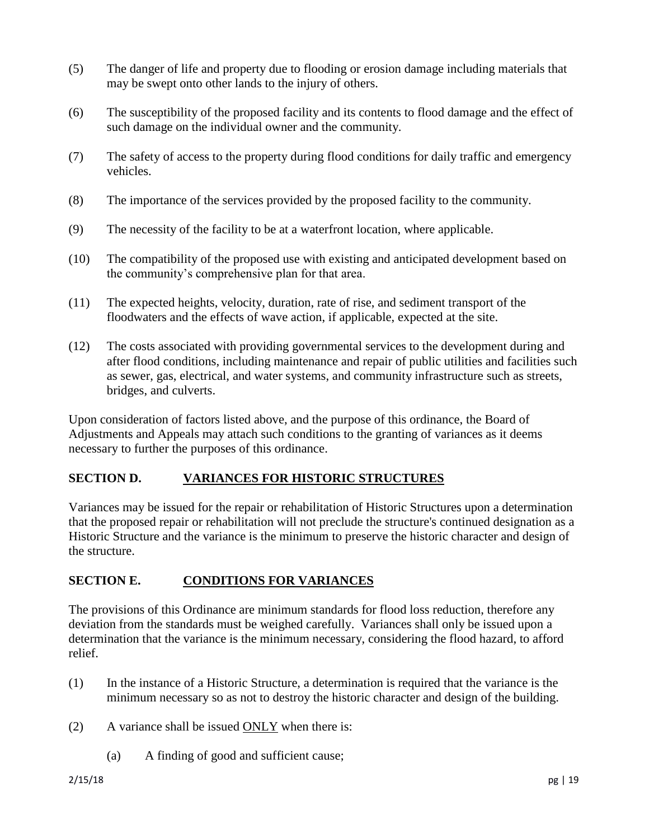- (5) The danger of life and property due to flooding or erosion damage including materials that may be swept onto other lands to the injury of others.
- (6) The susceptibility of the proposed facility and its contents to flood damage and the effect of such damage on the individual owner and the community.
- (7) The safety of access to the property during flood conditions for daily traffic and emergency vehicles.
- (8) The importance of the services provided by the proposed facility to the community.
- (9) The necessity of the facility to be at a waterfront location, where applicable.
- (10) The compatibility of the proposed use with existing and anticipated development based on the community's comprehensive plan for that area.
- (11) The expected heights, velocity, duration, rate of rise, and sediment transport of the floodwaters and the effects of wave action, if applicable, expected at the site.
- (12) The costs associated with providing governmental services to the development during and after flood conditions, including maintenance and repair of public utilities and facilities such as sewer, gas, electrical, and water systems, and community infrastructure such as streets, bridges, and culverts.

Upon consideration of factors listed above, and the purpose of this ordinance, the Board of Adjustments and Appeals may attach such conditions to the granting of variances as it deems necessary to further the purposes of this ordinance.

### **SECTION D. VARIANCES FOR HISTORIC STRUCTURES**

Variances may be issued for the repair or rehabilitation of Historic Structures upon a determination that the proposed repair or rehabilitation will not preclude the structure's continued designation as a Historic Structure and the variance is the minimum to preserve the historic character and design of the structure.

### **SECTION E. CONDITIONS FOR VARIANCES**

The provisions of this Ordinance are minimum standards for flood loss reduction, therefore any deviation from the standards must be weighed carefully. Variances shall only be issued upon a determination that the variance is the minimum necessary, considering the flood hazard, to afford relief.

- (1) In the instance of a Historic Structure, a determination is required that the variance is the minimum necessary so as not to destroy the historic character and design of the building.
- (2) A variance shall be issued ONLY when there is:
	- (a) A finding of good and sufficient cause;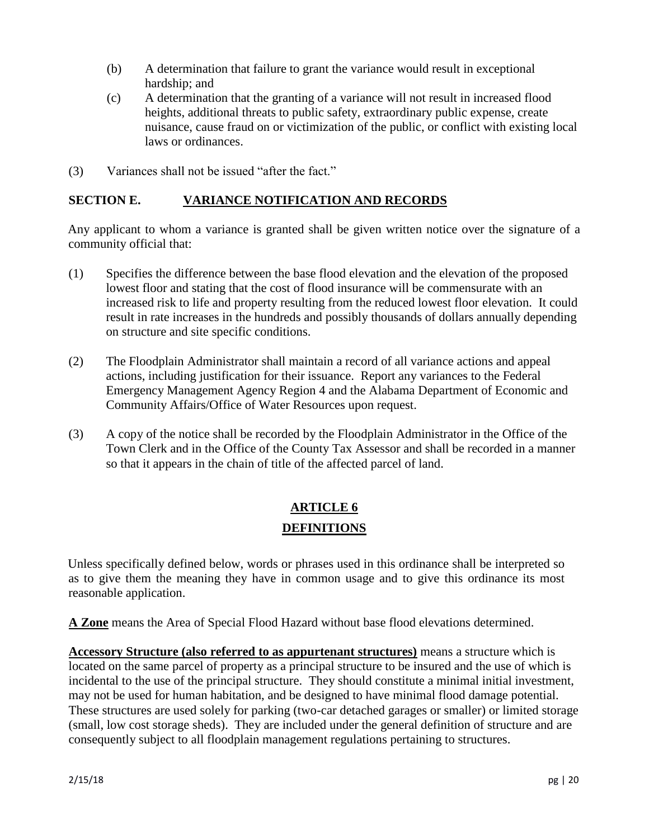- (b) A determination that failure to grant the variance would result in exceptional hardship; and
- (c) A determination that the granting of a variance will not result in increased flood heights, additional threats to public safety, extraordinary public expense, create nuisance, cause fraud on or victimization of the public, or conflict with existing local laws or ordinances.
- (3) Variances shall not be issued "after the fact."

### **SECTION E. VARIANCE NOTIFICATION AND RECORDS**

Any applicant to whom a variance is granted shall be given written notice over the signature of a community official that:

- (1) Specifies the difference between the base flood elevation and the elevation of the proposed lowest floor and stating that the cost of flood insurance will be commensurate with an increased risk to life and property resulting from the reduced lowest floor elevation. It could result in rate increases in the hundreds and possibly thousands of dollars annually depending on structure and site specific conditions.
- (2) The Floodplain Administrator shall maintain a record of all variance actions and appeal actions, including justification for their issuance. Report any variances to the Federal Emergency Management Agency Region 4 and the Alabama Department of Economic and Community Affairs/Office of Water Resources upon request.
- (3) A copy of the notice shall be recorded by the Floodplain Administrator in the Office of the Town Clerk and in the Office of the County Tax Assessor and shall be recorded in a manner so that it appears in the chain of title of the affected parcel of land.

# **ARTICLE 6 DEFINITIONS**

Unless specifically defined below, words or phrases used in this ordinance shall be interpreted so as to give them the meaning they have in common usage and to give this ordinance its most reasonable application.

**A Zone** means the Area of Special Flood Hazard without base flood elevations determined.

**Accessory Structure (also referred to as appurtenant structures)** means a structure which is located on the same parcel of property as a principal structure to be insured and the use of which is incidental to the use of the principal structure. They should constitute a minimal initial investment, may not be used for human habitation, and be designed to have minimal flood damage potential. These structures are used solely for parking (two-car detached garages or smaller) or limited storage (small, low cost storage sheds). They are included under the general definition of structure and are consequently subject to all floodplain management regulations pertaining to structures.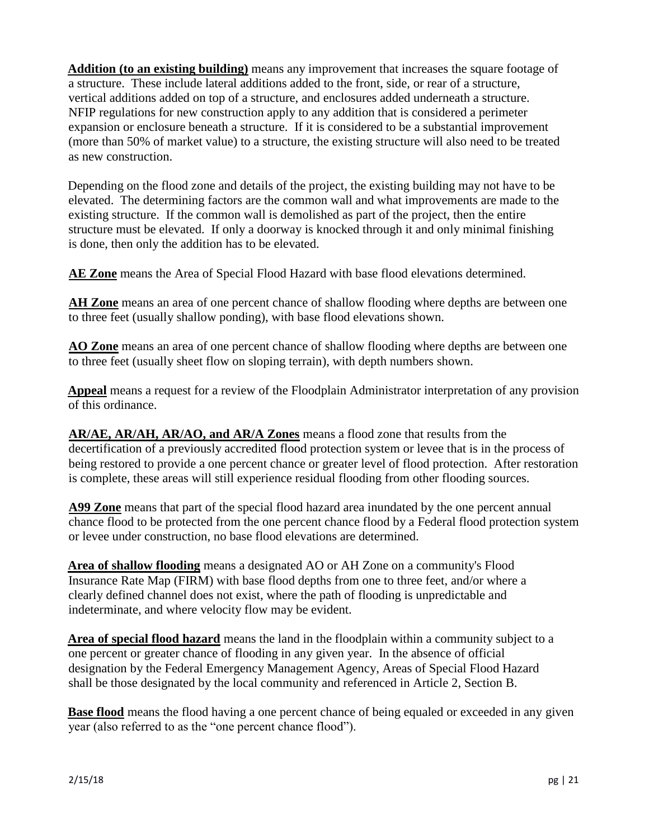**Addition (to an existing building)** means any improvement that increases the square footage of a structure. These include lateral additions added to the front, side, or rear of a structure, vertical additions added on top of a structure, and enclosures added underneath a structure. NFIP regulations for new construction apply to any addition that is considered a perimeter expansion or enclosure beneath a structure. If it is considered to be a substantial improvement (more than 50% of market value) to a structure, the existing structure will also need to be treated as new construction.

Depending on the flood zone and details of the project, the existing building may not have to be elevated. The determining factors are the common wall and what improvements are made to the existing structure. If the common wall is demolished as part of the project, then the entire structure must be elevated. If only a doorway is knocked through it and only minimal finishing is done, then only the addition has to be elevated.

**AE Zone** means the Area of Special Flood Hazard with base flood elevations determined.

**AH Zone** means an area of one percent chance of shallow flooding where depths are between one to three feet (usually shallow ponding), with base flood elevations shown.

**AO Zone** means an area of one percent chance of shallow flooding where depths are between one to three feet (usually sheet flow on sloping terrain), with depth numbers shown.

**Appeal** means a request for a review of the Floodplain Administrator interpretation of any provision of this ordinance.

**AR/AE, AR/AH, AR/AO, and AR/A Zones** means a flood zone that results from the decertification of a previously accredited flood protection system or levee that is in the process of being restored to provide a one percent chance or greater level of flood protection. After restoration is complete, these areas will still experience residual flooding from other flooding sources.

**A99 Zone** means that part of the special flood hazard area inundated by the one percent annual chance flood to be protected from the one percent chance flood by a Federal flood protection system or levee under construction, no base flood elevations are determined.

**Area of shallow flooding** means a designated AO or AH Zone on a community's Flood Insurance Rate Map (FIRM) with base flood depths from one to three feet, and/or where a clearly defined channel does not exist, where the path of flooding is unpredictable and indeterminate, and where velocity flow may be evident.

**Area of special flood hazard** means the land in the floodplain within a community subject to a one percent or greater chance of flooding in any given year. In the absence of official designation by the Federal Emergency Management Agency, Areas of Special Flood Hazard shall be those designated by the local community and referenced in Article 2, Section B.

**Base flood** means the flood having a one percent chance of being equaled or exceeded in any given year (also referred to as the "one percent chance flood").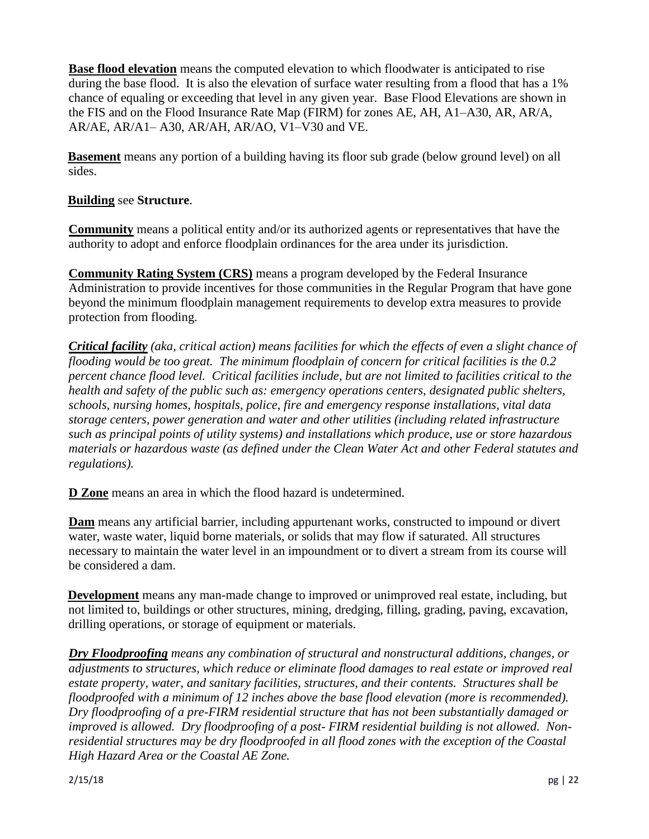**Base flood elevation** means the computed elevation to which floodwater is anticipated to rise during the base flood. It is also the elevation of surface water resulting from a flood that has a 1% chance of equaling or exceeding that level in any given year. Base Flood Elevations are shown in the FIS and on the Flood Insurance Rate Map (FIRM) for zones AE, AH, A1–A30, AR, AR/A, AR/AE, AR/A1– A30, AR/AH, AR/AO, V1–V30 and VE.

**Basement** means any portion of a building having its floor sub grade (below ground level) on all sides.

## **Building** see **Structure**.

**Community** means a political entity and/or its authorized agents or representatives that have the authority to adopt and enforce floodplain ordinances for the area under its jurisdiction.

**Community Rating System (CRS)** means a program developed by the Federal Insurance Administration to provide incentives for those communities in the Regular Program that have gone beyond the minimum floodplain management requirements to develop extra measures to provide protection from flooding.

*Critical facility (aka, critical action) means facilities for which the effects of even a slight chance of flooding would be too great. The minimum floodplain of concern for critical facilities is the 0.2 percent chance flood level. Critical facilities include, but are not limited to facilities critical to the health and safety of the public such as: emergency operations centers, designated public shelters, schools, nursing homes, hospitals, police, fire and emergency response installations, vital data storage centers, power generation and water and other utilities (including related infrastructure such as principal points of utility systems) and installations which produce, use or store hazardous materials or hazardous waste (as defined under the Clean Water Act and other Federal statutes and regulations).* 

**D Zone** means an area in which the flood hazard is undetermined.

**Dam** means any artificial barrier, including appurtenant works, constructed to impound or divert water, waste water, liquid borne materials, or solids that may flow if saturated. All structures necessary to maintain the water level in an impoundment or to divert a stream from its course will be considered a dam.

**Development** means any man-made change to improved or unimproved real estate, including, but not limited to, buildings or other structures, mining, dredging, filling, grading, paving, excavation, drilling operations, or storage of equipment or materials.

*Dry Floodproofing means any combination of structural and nonstructural additions, changes, or adjustments to structures, which reduce or eliminate flood damages to real estate or improved real estate property, water, and sanitary facilities, structures, and their contents. Structures shall be floodproofed with a minimum of 12 inches above the base flood elevation (more is recommended). Dry floodproofing of a pre-FIRM residential structure that has not been substantially damaged or improved is allowed. Dry floodproofing of a post- FIRM residential building is not allowed. Nonresidential structures may be dry floodproofed in all flood zones with the exception of the Coastal High Hazard Area or the Coastal AE Zone.*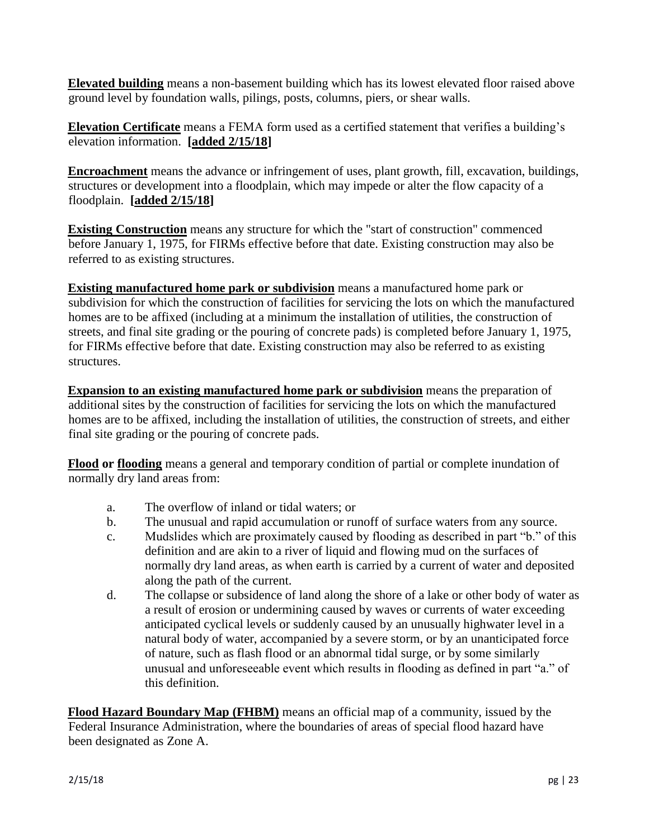**Elevated building** means a non-basement building which has its lowest elevated floor raised above ground level by foundation walls, pilings, posts, columns, piers, or shear walls.

**Elevation Certificate** means a FEMA form used as a certified statement that verifies a building's elevation information. **[added 2/15/18]** 

**Encroachment** means the advance or infringement of uses, plant growth, fill, excavation, buildings, structures or development into a floodplain, which may impede or alter the flow capacity of a floodplain. **[added 2/15/18]** 

**Existing Construction** means any structure for which the "start of construction" commenced before January 1, 1975, for FIRMs effective before that date. Existing construction may also be referred to as existing structures.

**Existing manufactured home park or subdivision** means a manufactured home park or subdivision for which the construction of facilities for servicing the lots on which the manufactured homes are to be affixed (including at a minimum the installation of utilities, the construction of streets, and final site grading or the pouring of concrete pads) is completed before January 1, 1975, for FIRMs effective before that date. Existing construction may also be referred to as existing structures.

**Expansion to an existing manufactured home park or subdivision** means the preparation of additional sites by the construction of facilities for servicing the lots on which the manufactured homes are to be affixed, including the installation of utilities, the construction of streets, and either final site grading or the pouring of concrete pads.

**Flood or flooding** means a general and temporary condition of partial or complete inundation of normally dry land areas from:

- a. The overflow of inland or tidal waters; or
- b. The unusual and rapid accumulation or runoff of surface waters from any source.
- c. Mudslides which are proximately caused by flooding as described in part "b." of this definition and are akin to a river of liquid and flowing mud on the surfaces of normally dry land areas, as when earth is carried by a current of water and deposited along the path of the current.
- d. The collapse or subsidence of land along the shore of a lake or other body of water as a result of erosion or undermining caused by waves or currents of water exceeding anticipated cyclical levels or suddenly caused by an unusually highwater level in a natural body of water, accompanied by a severe storm, or by an unanticipated force of nature, such as flash flood or an abnormal tidal surge, or by some similarly unusual and unforeseeable event which results in flooding as defined in part "a." of this definition.

**Flood Hazard Boundary Map (FHBM)** means an official map of a community, issued by the Federal Insurance Administration, where the boundaries of areas of special flood hazard have been designated as Zone A.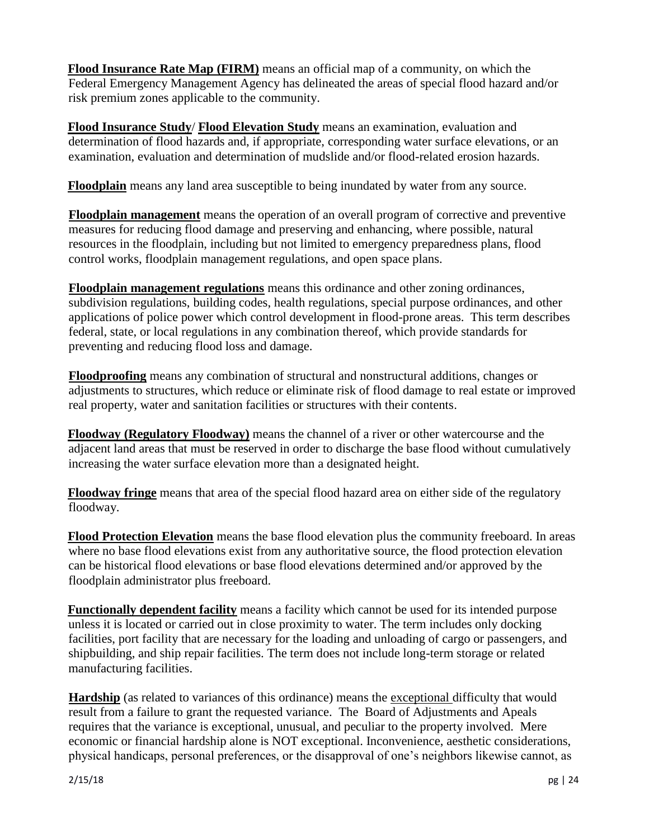**Flood Insurance Rate Map (FIRM)** means an official map of a community, on which the Federal Emergency Management Agency has delineated the areas of special flood hazard and/or risk premium zones applicable to the community.

**Flood Insurance Study**/ **Flood Elevation Study** means an examination, evaluation and determination of flood hazards and, if appropriate, corresponding water surface elevations, or an examination, evaluation and determination of mudslide and/or flood-related erosion hazards.

**Floodplain** means any land area susceptible to being inundated by water from any source.

**Floodplain management** means the operation of an overall program of corrective and preventive measures for reducing flood damage and preserving and enhancing, where possible, natural resources in the floodplain, including but not limited to emergency preparedness plans, flood control works, floodplain management regulations, and open space plans.

**Floodplain management regulations** means this ordinance and other zoning ordinances, subdivision regulations, building codes, health regulations, special purpose ordinances, and other applications of police power which control development in flood-prone areas. This term describes federal, state, or local regulations in any combination thereof, which provide standards for preventing and reducing flood loss and damage.

**Floodproofing** means any combination of structural and nonstructural additions, changes or adjustments to structures, which reduce or eliminate risk of flood damage to real estate or improved real property, water and sanitation facilities or structures with their contents.

**Floodway (Regulatory Floodway)** means the channel of a river or other watercourse and the adjacent land areas that must be reserved in order to discharge the base flood without cumulatively increasing the water surface elevation more than a designated height.

**Floodway fringe** means that area of the special flood hazard area on either side of the regulatory floodway.

**Flood Protection Elevation** means the base flood elevation plus the community freeboard. In areas where no base flood elevations exist from any authoritative source, the flood protection elevation can be historical flood elevations or base flood elevations determined and/or approved by the floodplain administrator plus freeboard.

**Functionally dependent facility** means a facility which cannot be used for its intended purpose unless it is located or carried out in close proximity to water. The term includes only docking facilities, port facility that are necessary for the loading and unloading of cargo or passengers, and shipbuilding, and ship repair facilities. The term does not include long-term storage or related manufacturing facilities.

**Hardship** (as related to variances of this ordinance) means the exceptional difficulty that would result from a failure to grant the requested variance. The Board of Adjustments and Apeals requires that the variance is exceptional, unusual, and peculiar to the property involved. Mere economic or financial hardship alone is NOT exceptional. Inconvenience, aesthetic considerations, physical handicaps, personal preferences, or the disapproval of one's neighbors likewise cannot, as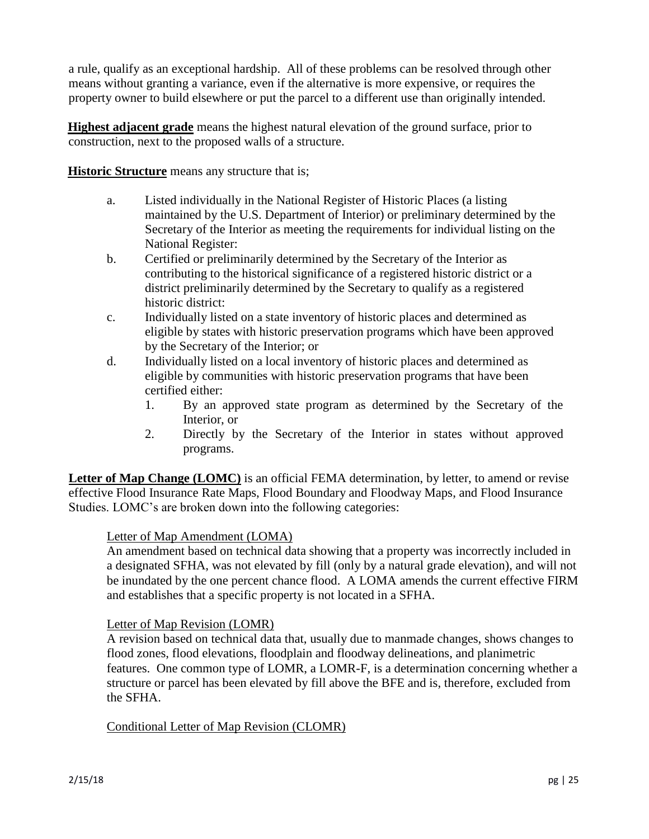a rule, qualify as an exceptional hardship. All of these problems can be resolved through other means without granting a variance, even if the alternative is more expensive, or requires the property owner to build elsewhere or put the parcel to a different use than originally intended.

**Highest adjacent grade** means the highest natural elevation of the ground surface, prior to construction, next to the proposed walls of a structure.

**Historic Structure** means any structure that is;

- a. Listed individually in the National Register of Historic Places (a listing maintained by the U.S. Department of Interior) or preliminary determined by the Secretary of the Interior as meeting the requirements for individual listing on the National Register:
- b. Certified or preliminarily determined by the Secretary of the Interior as contributing to the historical significance of a registered historic district or a district preliminarily determined by the Secretary to qualify as a registered historic district:
- c. Individually listed on a state inventory of historic places and determined as eligible by states with historic preservation programs which have been approved by the Secretary of the Interior; or
- d. Individually listed on a local inventory of historic places and determined as eligible by communities with historic preservation programs that have been certified either:
	- 1. By an approved state program as determined by the Secretary of the Interior, or
	- 2. Directly by the Secretary of the Interior in states without approved programs.

**Letter of Map Change (LOMC)** is an official FEMA determination, by letter, to amend or revise effective Flood Insurance Rate Maps, Flood Boundary and Floodway Maps, and Flood Insurance Studies. LOMC's are broken down into the following categories:

# Letter of Map Amendment (LOMA)

An amendment based on technical data showing that a property was incorrectly included in a designated SFHA, was not elevated by fill (only by a natural grade elevation), and will not be inundated by the one percent chance flood. A LOMA amends the current effective FIRM and establishes that a specific property is not located in a SFHA.

# Letter of Map Revision (LOMR)

A revision based on technical data that, usually due to manmade changes, shows changes to flood zones, flood elevations, floodplain and floodway delineations, and planimetric features. One common type of LOMR, a LOMR-F, is a determination concerning whether a structure or parcel has been elevated by fill above the BFE and is, therefore, excluded from the SFHA.

Conditional Letter of Map Revision (CLOMR)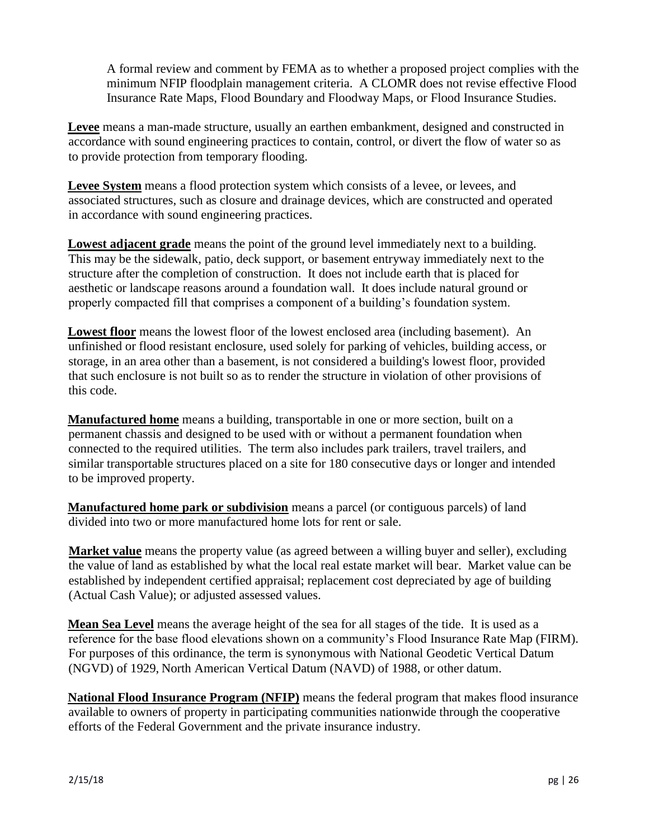A formal review and comment by FEMA as to whether a proposed project complies with the minimum NFIP floodplain management criteria. A CLOMR does not revise effective Flood Insurance Rate Maps, Flood Boundary and Floodway Maps, or Flood Insurance Studies.

**Levee** means a man-made structure, usually an earthen embankment, designed and constructed in accordance with sound engineering practices to contain, control, or divert the flow of water so as to provide protection from temporary flooding.

**Levee System** means a flood protection system which consists of a levee, or levees, and associated structures, such as closure and drainage devices, which are constructed and operated in accordance with sound engineering practices.

**Lowest adjacent grade** means the point of the ground level immediately next to a building. This may be the sidewalk, patio, deck support, or basement entryway immediately next to the structure after the completion of construction. It does not include earth that is placed for aesthetic or landscape reasons around a foundation wall. It does include natural ground or properly compacted fill that comprises a component of a building's foundation system.

**Lowest floor** means the lowest floor of the lowest enclosed area (including basement). An unfinished or flood resistant enclosure, used solely for parking of vehicles, building access, or storage, in an area other than a basement, is not considered a building's lowest floor, provided that such enclosure is not built so as to render the structure in violation of other provisions of this code.

**Manufactured home** means a building, transportable in one or more section, built on a permanent chassis and designed to be used with or without a permanent foundation when connected to the required utilities. The term also includes park trailers, travel trailers, and similar transportable structures placed on a site for 180 consecutive days or longer and intended to be improved property.

**Manufactured home park or subdivision** means a parcel (or contiguous parcels) of land divided into two or more manufactured home lots for rent or sale.

**Market value** means the property value (as agreed between a willing buyer and seller), excluding the value of land as established by what the local real estate market will bear. Market value can be established by independent certified appraisal; replacement cost depreciated by age of building (Actual Cash Value); or adjusted assessed values.

**Mean Sea Level** means the average height of the sea for all stages of the tide. It is used as a reference for the base flood elevations shown on a community's Flood Insurance Rate Map (FIRM). For purposes of this ordinance, the term is synonymous with National Geodetic Vertical Datum (NGVD) of 1929, North American Vertical Datum (NAVD) of 1988, or other datum.

**National Flood Insurance Program (NFIP)** means the federal program that makes flood insurance available to owners of property in participating communities nationwide through the cooperative efforts of the Federal Government and the private insurance industry.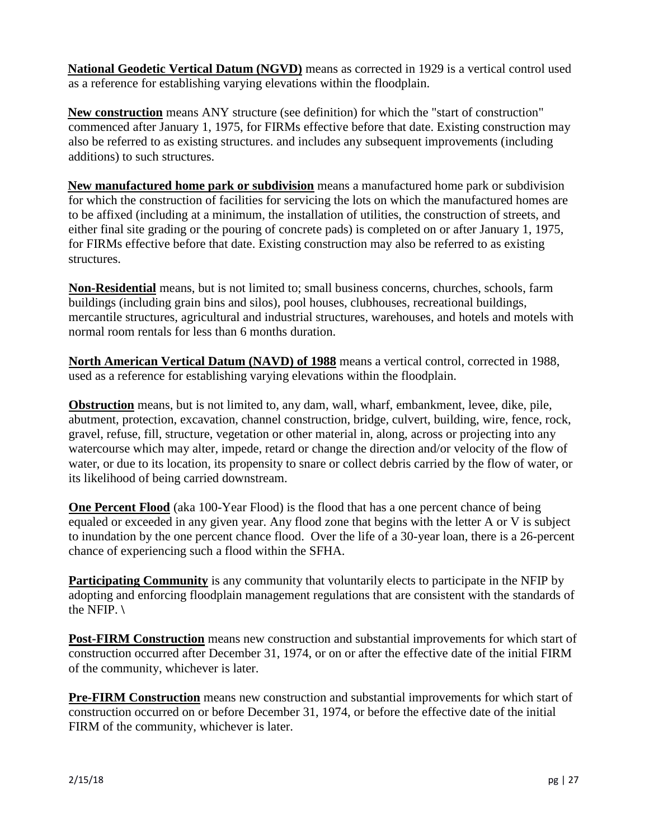**National Geodetic Vertical Datum (NGVD)** means as corrected in 1929 is a vertical control used as a reference for establishing varying elevations within the floodplain.

**New construction** means ANY structure (see definition) for which the "start of construction" commenced after January 1, 1975, for FIRMs effective before that date. Existing construction may also be referred to as existing structures. and includes any subsequent improvements (including additions) to such structures.

**New manufactured home park or subdivision** means a manufactured home park or subdivision for which the construction of facilities for servicing the lots on which the manufactured homes are to be affixed (including at a minimum, the installation of utilities, the construction of streets, and either final site grading or the pouring of concrete pads) is completed on or after January 1, 1975, for FIRMs effective before that date. Existing construction may also be referred to as existing structures.

**Non-Residential** means, but is not limited to; small business concerns, churches, schools, farm buildings (including grain bins and silos), pool houses, clubhouses, recreational buildings, mercantile structures, agricultural and industrial structures, warehouses, and hotels and motels with normal room rentals for less than 6 months duration.

**North American Vertical Datum (NAVD) of 1988** means a vertical control, corrected in 1988, used as a reference for establishing varying elevations within the floodplain.

**Obstruction** means, but is not limited to, any dam, wall, wharf, embankment, levee, dike, pile, abutment, protection, excavation, channel construction, bridge, culvert, building, wire, fence, rock, gravel, refuse, fill, structure, vegetation or other material in, along, across or projecting into any watercourse which may alter, impede, retard or change the direction and/or velocity of the flow of water, or due to its location, its propensity to snare or collect debris carried by the flow of water, or its likelihood of being carried downstream.

**One Percent Flood** (aka 100-Year Flood) is the flood that has a one percent chance of being equaled or exceeded in any given year. Any flood zone that begins with the letter A or V is subject to inundation by the one percent chance flood. Over the life of a 30-year loan, there is a 26-percent chance of experiencing such a flood within the SFHA.

**Participating Community** is any community that voluntarily elects to participate in the NFIP by adopting and enforcing floodplain management regulations that are consistent with the standards of the NFIP. **\**

**Post-FIRM Construction** means new construction and substantial improvements for which start of construction occurred after December 31, 1974, or on or after the effective date of the initial FIRM of the community, whichever is later.

**Pre-FIRM Construction** means new construction and substantial improvements for which start of construction occurred on or before December 31, 1974, or before the effective date of the initial FIRM of the community, whichever is later.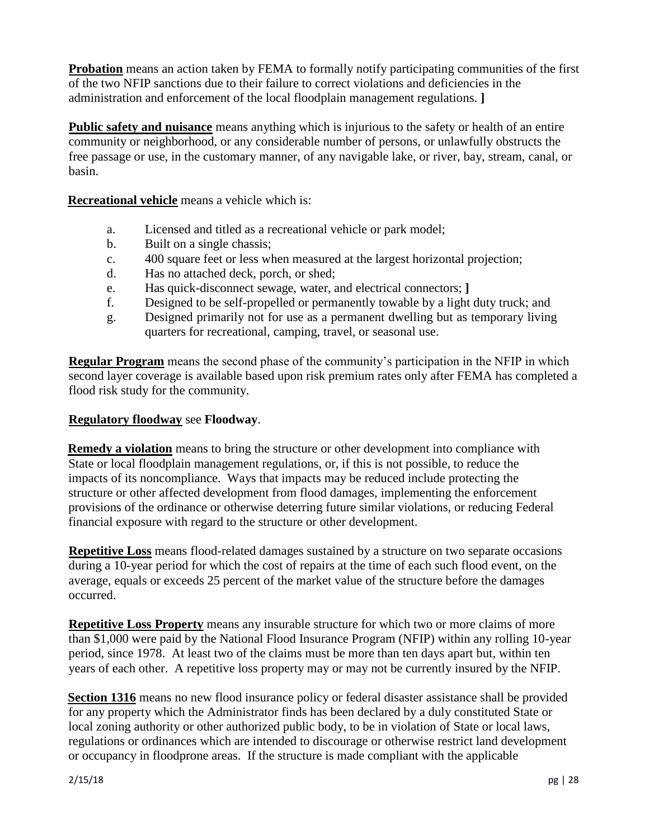**Probation** means an action taken by FEMA to formally notify participating communities of the first of the two NFIP sanctions due to their failure to correct violations and deficiencies in the administration and enforcement of the local floodplain management regulations. **]** 

**Public safety and nuisance** means anything which is injurious to the safety or health of an entire community or neighborhood, or any considerable number of persons, or unlawfully obstructs the free passage or use, in the customary manner, of any navigable lake, or river, bay, stream, canal, or basin.

**Recreational vehicle** means a vehicle which is:

- a. Licensed and titled as a recreational vehicle or park model;
- b. Built on a single chassis;
- c. 400 square feet or less when measured at the largest horizontal projection;
- d. Has no attached deck, porch, or shed;
- e. Has quick-disconnect sewage, water, and electrical connectors; **]**
- f. Designed to be self-propelled or permanently towable by a light duty truck; and
- g. Designed primarily not for use as a permanent dwelling but as temporary living quarters for recreational, camping, travel, or seasonal use.

**Regular Program** means the second phase of the community's participation in the NFIP in which second layer coverage is available based upon risk premium rates only after FEMA has completed a flood risk study for the community.

### **Regulatory floodway** see **Floodway**.

**Remedy a violation** means to bring the structure or other development into compliance with State or local floodplain management regulations, or, if this is not possible, to reduce the impacts of its noncompliance. Ways that impacts may be reduced include protecting the structure or other affected development from flood damages, implementing the enforcement provisions of the ordinance or otherwise deterring future similar violations, or reducing Federal financial exposure with regard to the structure or other development.

**Repetitive Loss** means flood-related damages sustained by a structure on two separate occasions during a 10-year period for which the cost of repairs at the time of each such flood event, on the average, equals or exceeds 25 percent of the market value of the structure before the damages occurred.

**Repetitive Loss Property** means any insurable structure for which two or more claims of more than \$1,000 were paid by the National Flood Insurance Program (NFIP) within any rolling 10-year period, since 1978. At least two of the claims must be more than ten days apart but, within ten years of each other. A repetitive loss property may or may not be currently insured by the NFIP.

**Section 1316** means no new flood insurance policy or federal disaster assistance shall be provided for any property which the Administrator finds has been declared by a duly constituted State or local zoning authority or other authorized public body, to be in violation of State or local laws, regulations or ordinances which are intended to discourage or otherwise restrict land development or occupancy in floodprone areas. If the structure is made compliant with the applicable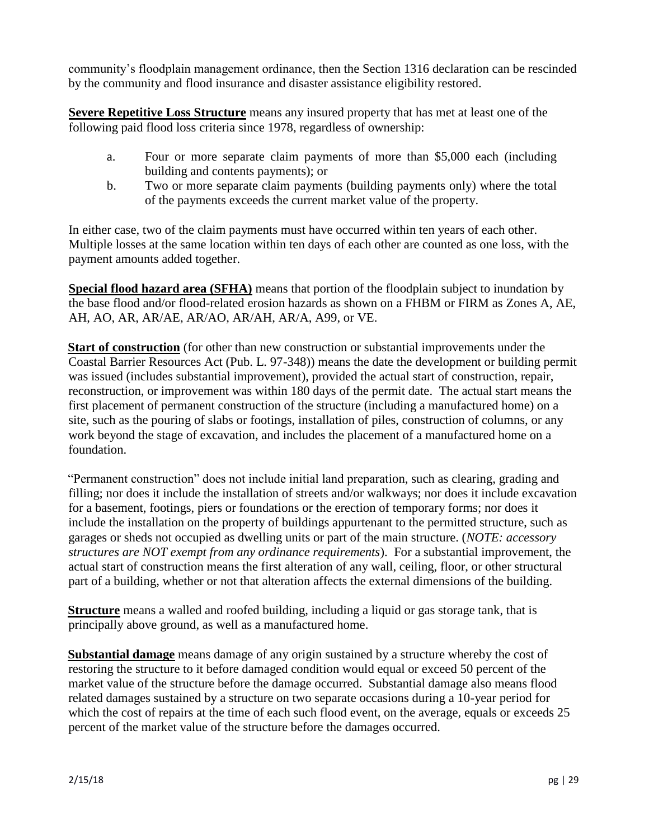community's floodplain management ordinance, then the Section 1316 declaration can be rescinded by the community and flood insurance and disaster assistance eligibility restored.

**Severe Repetitive Loss Structure** means any insured property that has met at least one of the following paid flood loss criteria since 1978, regardless of ownership:

- a. Four or more separate claim payments of more than \$5,000 each (including building and contents payments); or
- b. Two or more separate claim payments (building payments only) where the total of the payments exceeds the current market value of the property.

In either case, two of the claim payments must have occurred within ten years of each other. Multiple losses at the same location within ten days of each other are counted as one loss, with the payment amounts added together.

**Special flood hazard area (SFHA)** means that portion of the floodplain subject to inundation by the base flood and/or flood-related erosion hazards as shown on a FHBM or FIRM as Zones A, AE, AH, AO, AR, AR/AE, AR/AO, AR/AH, AR/A, A99, or VE.

**Start of construction** (for other than new construction or substantial improvements under the Coastal Barrier Resources Act (Pub. L. 97-348)) means the date the development or building permit was issued (includes substantial improvement), provided the actual start of construction, repair, reconstruction, or improvement was within 180 days of the permit date. The actual start means the first placement of permanent construction of the structure (including a manufactured home) on a site, such as the pouring of slabs or footings, installation of piles, construction of columns, or any work beyond the stage of excavation, and includes the placement of a manufactured home on a foundation.

"Permanent construction" does not include initial land preparation, such as clearing, grading and filling; nor does it include the installation of streets and/or walkways; nor does it include excavation for a basement, footings, piers or foundations or the erection of temporary forms; nor does it include the installation on the property of buildings appurtenant to the permitted structure, such as garages or sheds not occupied as dwelling units or part of the main structure. (*NOTE: accessory structures are NOT exempt from any ordinance requirements*). For a substantial improvement, the actual start of construction means the first alteration of any wall, ceiling, floor, or other structural part of a building, whether or not that alteration affects the external dimensions of the building.

**Structure** means a walled and roofed building, including a liquid or gas storage tank, that is principally above ground, as well as a manufactured home.

**Substantial damage** means damage of any origin sustained by a structure whereby the cost of restoring the structure to it before damaged condition would equal or exceed 50 percent of the market value of the structure before the damage occurred. Substantial damage also means flood related damages sustained by a structure on two separate occasions during a 10-year period for which the cost of repairs at the time of each such flood event, on the average, equals or exceeds 25 percent of the market value of the structure before the damages occurred.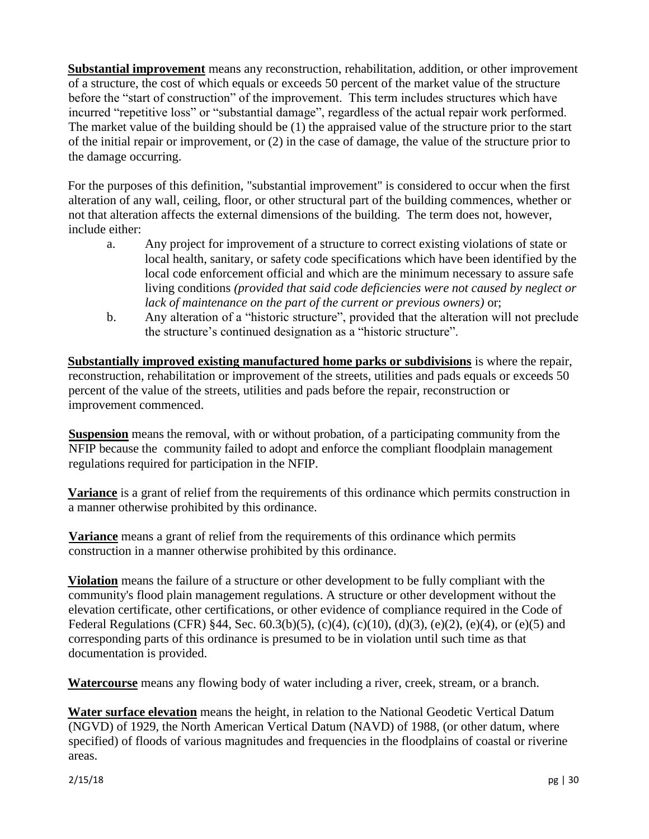**Substantial improvement** means any reconstruction, rehabilitation, addition, or other improvement of a structure, the cost of which equals or exceeds 50 percent of the market value of the structure before the "start of construction" of the improvement. This term includes structures which have incurred "repetitive loss" or "substantial damage", regardless of the actual repair work performed. The market value of the building should be (1) the appraised value of the structure prior to the start of the initial repair or improvement, or (2) in the case of damage, the value of the structure prior to the damage occurring.

For the purposes of this definition, "substantial improvement" is considered to occur when the first alteration of any wall, ceiling, floor, or other structural part of the building commences, whether or not that alteration affects the external dimensions of the building. The term does not, however, include either:

- a. Any project for improvement of a structure to correct existing violations of state or local health, sanitary, or safety code specifications which have been identified by the local code enforcement official and which are the minimum necessary to assure safe living conditions *(provided that said code deficiencies were not caused by neglect or lack of maintenance on the part of the current or previous owners)* or;
- b. Any alteration of a "historic structure", provided that the alteration will not preclude the structure's continued designation as a "historic structure".

**Substantially improved existing manufactured home parks or subdivisions** is where the repair, reconstruction, rehabilitation or improvement of the streets, utilities and pads equals or exceeds 50 percent of the value of the streets, utilities and pads before the repair, reconstruction or improvement commenced.

**Suspension** means the removal, with or without probation, of a participating community from the NFIP because the community failed to adopt and enforce the compliant floodplain management regulations required for participation in the NFIP.

**Variance** is a grant of relief from the requirements of this ordinance which permits construction in a manner otherwise prohibited by this ordinance.

**Variance** means a grant of relief from the requirements of this ordinance which permits construction in a manner otherwise prohibited by this ordinance.

**Violation** means the failure of a structure or other development to be fully compliant with the community's flood plain management regulations. A structure or other development without the elevation certificate, other certifications, or other evidence of compliance required in the Code of Federal Regulations (CFR) §44, Sec. 60.3(b)(5), (c)(4), (c)(10), (d)(3), (e)(2), (e)(4), or (e)(5) and corresponding parts of this ordinance is presumed to be in violation until such time as that documentation is provided.

**Watercourse** means any flowing body of water including a river, creek, stream, or a branch.

**Water surface elevation** means the height, in relation to the National Geodetic Vertical Datum (NGVD) of 1929, the North American Vertical Datum (NAVD) of 1988, (or other datum, where specified) of floods of various magnitudes and frequencies in the floodplains of coastal or riverine areas.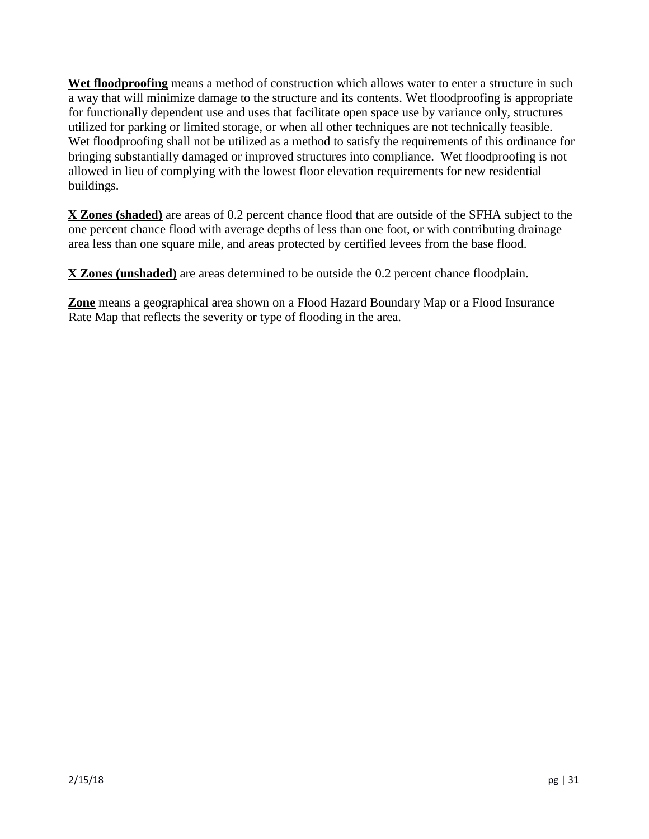**Wet floodproofing** means a method of construction which allows water to enter a structure in such a way that will minimize damage to the structure and its contents. Wet floodproofing is appropriate for functionally dependent use and uses that facilitate open space use by variance only, structures utilized for parking or limited storage, or when all other techniques are not technically feasible. Wet floodproofing shall not be utilized as a method to satisfy the requirements of this ordinance for bringing substantially damaged or improved structures into compliance. Wet floodproofing is not allowed in lieu of complying with the lowest floor elevation requirements for new residential buildings.

**X Zones (shaded)** are areas of 0.2 percent chance flood that are outside of the SFHA subject to the one percent chance flood with average depths of less than one foot, or with contributing drainage area less than one square mile, and areas protected by certified levees from the base flood.

**X Zones (unshaded)** are areas determined to be outside the 0.2 percent chance floodplain.

**Zone** means a geographical area shown on a Flood Hazard Boundary Map or a Flood Insurance Rate Map that reflects the severity or type of flooding in the area.